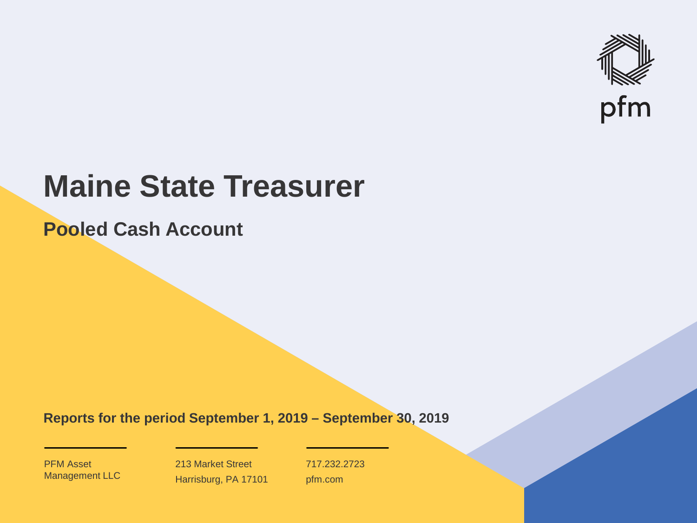

# **Maine State Treasurer**

**Pooled Cash Account**

**Reports for the period September 1, 2019 – September 30, 2019**

PFM Asset Management LLC

213 Market Street Harrisburg, PA 17101 717.232.2723 pfm.com

 $\mathcal{P}_\text{max}$  and  $\mathcal{P}_\text{max}$  is the probability of  $\mathcal{P}_\text{max}$  and  $\mathcal{P}_\text{max}$  and  $\mathcal{P}_\text{max}$  and  $\mathcal{P}_\text{max}$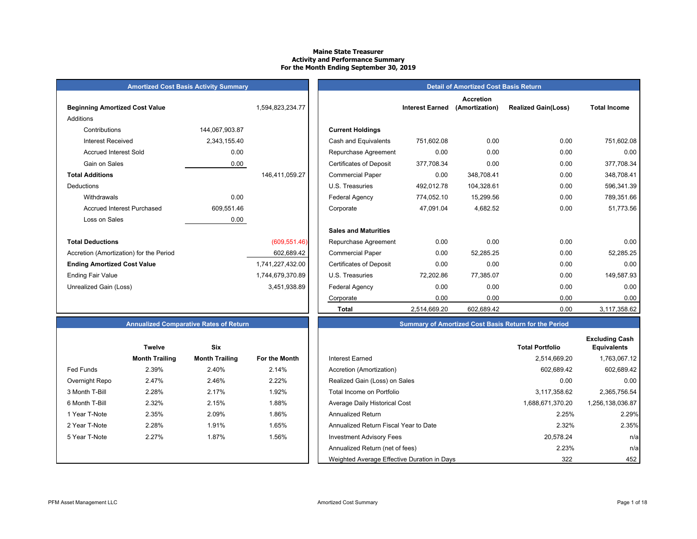#### **Maine State Treasurer Activity and Performance Summary For the Month Ending September 30, 2019**

| <b>Amortized Cost Basis Activity Summary</b> |
|----------------------------------------------|
|----------------------------------------------|

| <b>Beginning Amortized Cost Value</b>   |                | 1,594,823,234.77 | <b>Interest Earned</b>                       |               |
|-----------------------------------------|----------------|------------------|----------------------------------------------|---------------|
| Additions                               |                |                  |                                              |               |
| Contributions                           | 144,067,903.87 |                  | <b>Current Holdings</b>                      |               |
| Interest Received                       | 2,343,155.40   |                  | Cash and Equivalents<br>751,602.08           |               |
| <b>Accrued Interest Sold</b>            | 0.00           |                  | Repurchase Agreement                         | 0.00          |
| Gain on Sales                           | 0.00           |                  | <b>Certificates of Deposit</b><br>377,708.34 |               |
| <b>Total Additions</b>                  |                | 146,411,059.27   | <b>Commercial Paper</b>                      | 0.00          |
| Deductions                              |                |                  | 492,012.78<br>U.S. Treasuries                |               |
| Withdrawals                             | 0.00           |                  | Federal Agency<br>774,052.10                 |               |
| <b>Accrued Interest Purchased</b>       | 609,551.46     |                  | 47,091.04<br>Corporate                       |               |
| Loss on Sales                           | 0.00           |                  |                                              |               |
|                                         |                |                  | <b>Sales and Maturities</b>                  |               |
| <b>Total Deductions</b>                 |                | (609, 551.46)    | Repurchase Agreement                         | 0.00          |
| Accretion (Amortization) for the Period |                | 602,689.42       | <b>Commercial Paper</b>                      | 0.00          |
| <b>Ending Amortized Cost Value</b>      |                | 1,741,227,432.00 | <b>Certificates of Deposit</b>               | 0.00          |
| <b>Ending Fair Value</b>                |                | 1,744,679,370.89 | U.S. Treasuries<br>72,202.86                 |               |
| Unrealized Gain (Loss)                  |                | 3,451,938.89     | Federal Agency                               | 0.00          |
|                                         |                |                  |                                              | $\sim$ $\sim$ |

|                                         | <b>Amortized Cost Basis Activity Summary</b> |                  | <b>Detail of Amortized Cost Basis Return</b> |                        |                                    |                            |                     |  |  |
|-----------------------------------------|----------------------------------------------|------------------|----------------------------------------------|------------------------|------------------------------------|----------------------------|---------------------|--|--|
| <b>Beginning Amortized Cost Value</b>   |                                              | 1,594,823,234.77 |                                              | <b>Interest Earned</b> | <b>Accretion</b><br>(Amortization) | <b>Realized Gain(Loss)</b> | <b>Total Income</b> |  |  |
| Additions                               |                                              |                  |                                              |                        |                                    |                            |                     |  |  |
| Contributions                           | 144,067,903.87                               |                  | <b>Current Holdings</b>                      |                        |                                    |                            |                     |  |  |
| <b>Interest Received</b>                | 2,343,155.40                                 |                  | Cash and Equivalents                         | 751,602.08             | 0.00                               | 0.00                       | 751,602.08          |  |  |
| <b>Accrued Interest Sold</b>            | 0.00                                         |                  | Repurchase Agreement                         | 0.00                   | 0.00                               | 0.00                       | 0.00                |  |  |
| Gain on Sales                           | 0.00                                         |                  | <b>Certificates of Deposit</b>               | 377,708.34             | 0.00                               | 0.00                       | 377,708.34          |  |  |
| <b>Total Additions</b>                  |                                              | 146,411,059.27   | <b>Commercial Paper</b>                      | 0.00                   | 348,708.41                         | 0.00                       | 348,708.41          |  |  |
| Deductions                              |                                              |                  | U.S. Treasuries                              | 492,012.78             | 104,328.61                         | 0.00                       | 596,341.39          |  |  |
| Withdrawals                             | 0.00                                         |                  | Federal Agency                               | 774,052.10             | 15,299.56                          | 0.00                       | 789,351.66          |  |  |
| <b>Accrued Interest Purchased</b>       | 609,551.46                                   |                  | Corporate                                    | 47,091.04              | 4,682.52                           | 0.00                       | 51,773.56           |  |  |
| Loss on Sales                           | 0.00                                         |                  |                                              |                        |                                    |                            |                     |  |  |
|                                         |                                              |                  | <b>Sales and Maturities</b>                  |                        |                                    |                            |                     |  |  |
| <b>Total Deductions</b>                 |                                              | (609, 551.46)    | Repurchase Agreement                         | 0.00                   | 0.00                               | 0.00                       | 0.00                |  |  |
| Accretion (Amortization) for the Period |                                              | 602,689.42       | <b>Commercial Paper</b>                      | 0.00                   | 52,285.25                          | 0.00                       | 52,285.25           |  |  |
| <b>Ending Amortized Cost Value</b>      |                                              | 1,741,227,432.00 | <b>Certificates of Deposit</b>               | 0.00                   | 0.00                               | 0.00                       | 0.00                |  |  |
| Ending Fair Value                       |                                              | 1,744,679,370.89 | U.S. Treasuries                              | 72,202.86              | 77,385.07                          | 0.00                       | 149,587.93          |  |  |
| Unrealized Gain (Loss)                  |                                              | 3,451,938.89     | <b>Federal Agency</b>                        | 0.00                   | 0.00                               | 0.00                       | 0.00                |  |  |
|                                         |                                              |                  | Corporate                                    | 0.00                   | 0.00                               | 0.00                       | 0.00                |  |  |
|                                         |                                              |                  | <b>Total</b>                                 | 2,514,669.20           | 602,689.42                         | 0.00                       | 3,117,358.62        |  |  |

#### **Annualized Comparative Rates of Return Summary of Amortized Cost Basis Return for the Period**

|                  | <b>Twelve</b>         | Six                   |               |                                             | <b>Total Portfolio</b> |
|------------------|-----------------------|-----------------------|---------------|---------------------------------------------|------------------------|
|                  | <b>Month Trailing</b> | <b>Month Trailing</b> | For the Month | Interest Earned                             | 2,514,669.20           |
| <b>Fed Funds</b> | 2.39%                 | 2.40%                 | 2.14%         | Accretion (Amortization)                    | 602,689.42             |
| Overnight Repo   | 2.47%                 | 2.46%                 | 2.22%         | Realized Gain (Loss) on Sales               | 0.00                   |
| 3 Month T-Bill   | 2.28%                 | 2.17%                 | 1.92%         | Total Income on Portfolio                   | 3,117,358.62           |
| 6 Month T-Bill   | 2.32%                 | 2.15%                 | 1.88%         | Average Daily Historical Cost               | 1,688,671,370.20       |
| 1 Year T-Note    | 2.35%                 | 2.09%                 | 1.86%         | <b>Annualized Return</b>                    | 2.25%                  |
| 2 Year T-Note    | 2.28%                 | 1.91%                 | 1.65%         | Annualized Return Fiscal Year to Date       | 2.32%                  |
| 5 Year T-Note    | 2.27%                 | 1.87%                 | 1.56%         | <b>Investment Advisory Fees</b>             | 20,578.24              |
|                  |                       |                       |               | Annualized Return (net of fees)             | 2.23%                  |
|                  |                       |                       |               | Weighted Average Effective Duration in Days | 322                    |

|                | <b>Twelve</b>         | <b>Six</b>            |                      |
|----------------|-----------------------|-----------------------|----------------------|
|                | <b>Month Trailing</b> | <b>Month Trailing</b> | <b>For the Month</b> |
| Fed Funds      | 2.39%                 | 2.40%                 | 2.14%                |
| Overnight Repo | 2.47%                 | 2.46%                 | 2.22%                |
| 3 Month T-Bill | 2.28%                 | 2.17%                 | 1.92%                |
| 6 Month T-Bill | 2.32%                 | 2.15%                 | 1.88%                |
| 1 Year T-Note  | 2.35%                 | 2.09%                 | 1.86%                |
| 2 Year T-Note  | 2.28%                 | 1.91%                 | 1.65%                |
| 5 Year T-Note  | 2.27%                 | 1.87%                 | 1.56%                |
|                |                       |                       |                      |
|                |                       |                       |                      |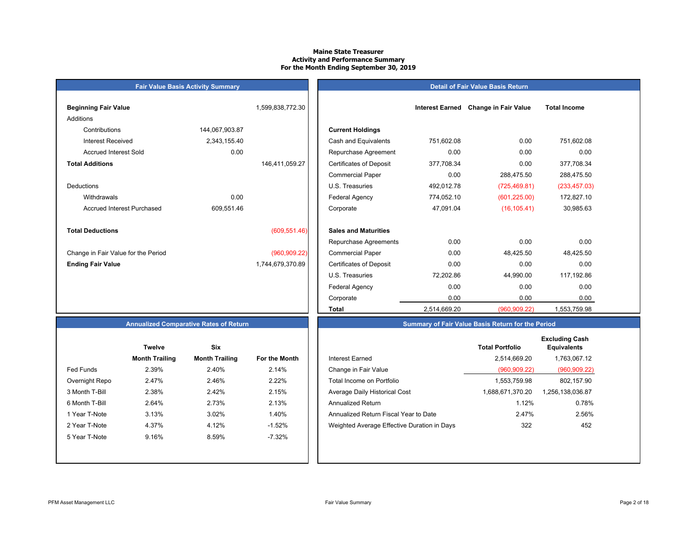#### **Maine State Treasurer Activity and Performance Summary For the Month Ending September 30, 2019**

## **Beginning Fair Value Interest Earned 1,599,838,772.30** Additions Contributions 144,067,903.87 **Current Holdings** Accrued Interest Sold 0.00 **Total Additions**DeductionsAccrued Interest Purchased 609,551.46 **Total Deductions** $(609, 551.46)$ Change in Fair Value for the Period (960,909.22)

**Fair Value Basis Activity Summary**

| Beginning Fair Value                |                | 1,599,838,772.30 |                                | <b>Interest Earned</b> | <b>Change in Fair Value</b> | <b>Total Income</b> |
|-------------------------------------|----------------|------------------|--------------------------------|------------------------|-----------------------------|---------------------|
| Additions                           |                |                  |                                |                        |                             |                     |
| Contributions                       | 144,067,903.87 |                  | <b>Current Holdings</b>        |                        |                             |                     |
| <b>Interest Received</b>            | 2,343,155.40   |                  | Cash and Equivalents           | 751,602.08             | 0.00                        | 751,602.08          |
| <b>Accrued Interest Sold</b>        | 0.00           |                  | Repurchase Agreement           | 0.00                   | 0.00                        | 0.00                |
| <b>Total Additions</b>              |                | 146,411,059.27   | <b>Certificates of Deposit</b> | 377,708.34             | 0.00                        | 377,708.34          |
|                                     |                |                  | <b>Commercial Paper</b>        | 0.00                   | 288,475.50                  | 288,475.50          |
| Deductions                          |                |                  | U.S. Treasuries                | 492,012.78             | (725, 469.81)               | (233, 457.03)       |
| Withdrawals                         | 0.00           |                  | <b>Federal Agency</b>          | 774,052.10             | (601, 225.00)               | 172,827.10          |
| <b>Accrued Interest Purchased</b>   | 609,551.46     |                  | Corporate                      | 47,091.04              | (16, 105.41)                | 30,985.63           |
| <b>Total Deductions</b>             |                | (609, 551.46)    | <b>Sales and Maturities</b>    |                        |                             |                     |
|                                     |                |                  | Repurchase Agreements          | 0.00                   | 0.00                        | 0.00                |
| Change in Fair Value for the Period |                | (960, 909.22)    | <b>Commercial Paper</b>        | 0.00                   | 48,425.50                   | 48,425.50           |
| <b>Ending Fair Value</b>            |                | 1,744,679,370.89 | <b>Certificates of Deposit</b> | 0.00                   | 0.00                        | 0.00                |
|                                     |                |                  | U.S. Treasuries                | 72,202.86              | 44,990.00                   | 117,192.86          |
|                                     |                |                  | <b>Federal Agency</b>          | 0.00                   | 0.00                        | 0.00                |
|                                     |                |                  | Corporate                      | 0.00                   | 0.00                        | 0.00                |
|                                     |                |                  | Total                          | 2,514,669.20           | (960, 909.22)               | 1,553,759.98        |

**Detail of Fair Value Basis Return**

#### **Annualized Comparative Rates of Return**

|                | <b>Twelve</b>         | Six                   |                      |
|----------------|-----------------------|-----------------------|----------------------|
|                | <b>Month Trailing</b> | <b>Month Trailing</b> | <b>For the Month</b> |
| Fed Funds      | 2.39%                 | 2.40%                 | 2.14%                |
| Overnight Repo | 2.47%                 | 2.46%                 | 2.22%                |
| 3 Month T-Bill | 2.38%                 | 2.42%                 | 2.15%                |
| 6 Month T-Bill | 2.64%                 | 2.73%                 | 2.13%                |
| 1 Year T-Note  | 3.13%                 | 3.02%                 | 1.40%                |
| 2 Year T-Note  | 4.37%                 | 4.12%                 | $-1.52%$             |
| 5 Year T-Note  | 9.16%                 | 8.59%                 | $-7.32%$             |
|                |                       |                       |                      |
|                |                       |                       |                      |

|                  | <b>Twelve</b>         | <b>Six</b>            |               |                                             | <b>Total Portfolio</b> | <b>Excluding Cash</b><br><b>Equivalents</b> |
|------------------|-----------------------|-----------------------|---------------|---------------------------------------------|------------------------|---------------------------------------------|
|                  | <b>Month Trailing</b> | <b>Month Trailing</b> | For the Month | Interest Earned                             | 2,514,669.20           | 1,763,067.12                                |
| <b>Fed Funds</b> | 2.39%                 | 2.40%                 | 2.14%         | Change in Fair Value                        | (960, 909.22)          | (960, 909.22)                               |
| Overnight Repo   | 2.47%                 | 2.46%                 | 2.22%         | Total Income on Portfolio                   | 1,553,759.98           | 802,157.90                                  |
| 3 Month T-Bill   | 2.38%                 | 2.42%                 | 2.15%         | Average Daily Historical Cost               | 1,688,671,370.20       | 1,256,138,036.87                            |
| 6 Month T-Bill   | 2.64%                 | 2.73%                 | 2.13%         | Annualized Return                           | 1.12%                  | 0.78%                                       |
| 1 Year T-Note    | 3.13%                 | 3.02%                 | 1.40%         | Annualized Return Fiscal Year to Date       | 2.47%                  | 2.56%                                       |
| 2 Year T-Note    | 4.37%                 | 4.12%                 | $-1.52%$      | Weighted Average Effective Duration in Days | 322                    | 452                                         |
| 5 Year T-Note    | 9.16%                 | 8.59%                 | $-7.32\%$     |                                             |                        |                                             |

**Summary of Fair Value Basis Return for the Period**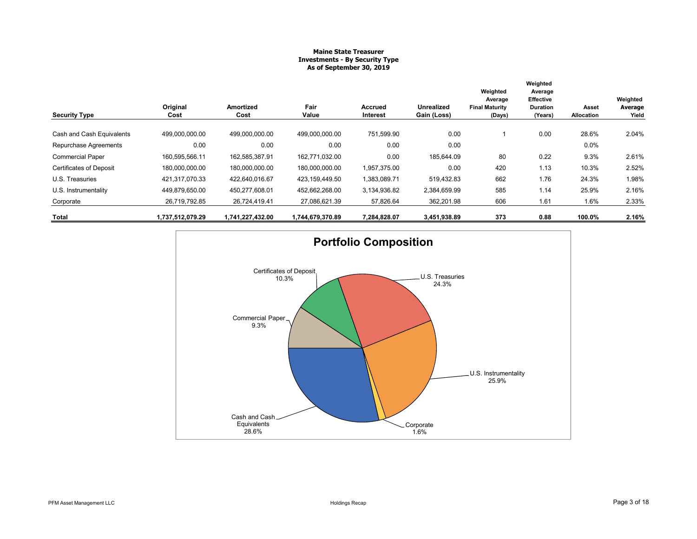#### **Maine State Treasurer Investments - By Security Type As of September 30, 2019**

| <b>Security Type</b>           | Original<br>Cost | Amortized<br>Cost | Fair<br>Value    | <b>Accrued</b><br>Interest | <b>Unrealized</b><br>Gain (Loss) | Weighted<br>Average<br><b>Final Maturity</b><br>(Days) | Weighted<br>Average<br><b>Effective</b><br><b>Duration</b><br>(Years) | Asset<br>Allocation | Weighted<br>Average<br>Yield |
|--------------------------------|------------------|-------------------|------------------|----------------------------|----------------------------------|--------------------------------------------------------|-----------------------------------------------------------------------|---------------------|------------------------------|
| Cash and Cash Equivalents      | 499,000,000.00   | 499,000,000.00    | 499,000,000.00   | 751,599.90                 | 0.00                             |                                                        | 0.00                                                                  | 28.6%               | 2.04%                        |
| Repurchase Agreements          | 0.00             | 0.00              | 0.00             | 0.00                       | 0.00                             |                                                        |                                                                       | 0.0%                |                              |
| <b>Commercial Paper</b>        | 160,595,566.11   | 162,585,387.91    | 162.771.032.00   | 0.00                       | 185.644.09                       | 80                                                     | 0.22                                                                  | 9.3%                | 2.61%                        |
| <b>Certificates of Deposit</b> | 180,000,000.00   | 180,000,000.00    | 180,000,000.00   | 1,957,375.00               | 0.00                             | 420                                                    | 1.13                                                                  | 10.3%               | 2.52%                        |
| U.S. Treasuries                | 421,317,070.33   | 422.640.016.67    | 423,159,449.50   | 1,383,089.71               | 519,432.83                       | 662                                                    | 1.76                                                                  | 24.3%               | 1.98%                        |
| U.S. Instrumentality           | 449,879,650.00   | 450,277,608.01    | 452,662,268.00   | 3,134,936.82               | 2,384,659.99                     | 585                                                    | 1.14                                                                  | 25.9%               | 2.16%                        |
| Corporate                      | 26,719,792.85    | 26,724,419.41     | 27,086,621.39    | 57,826.64                  | 362,201.98                       | 606                                                    | 1.61                                                                  | 1.6%                | 2.33%                        |
| Total                          | 1,737,512,079.29 | 1,741,227,432.00  | 1,744,679,370.89 | 7,284,828.07               | 3,451,938.89                     | 373                                                    | 0.88                                                                  | 100.0%              | 2.16%                        |

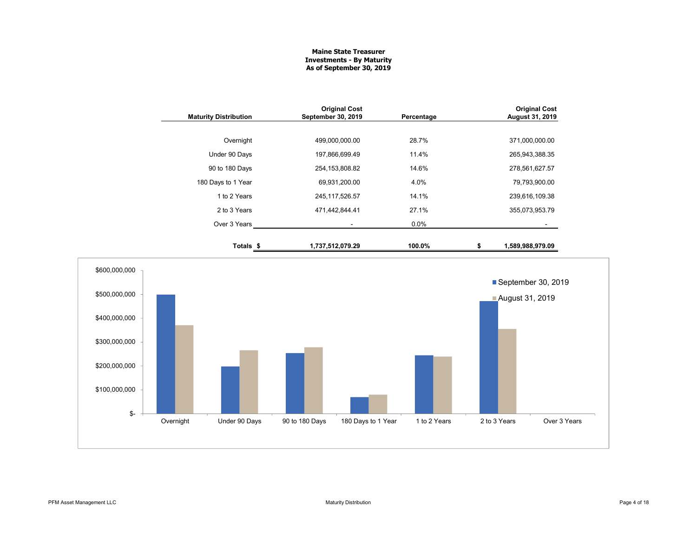#### **Maine State Treasurer Investments - By Maturity As of September 30, 2019**

| <b>Maturity Distribution</b> | <b>Original Cost</b><br>September 30, 2019 | Percentage | <b>Original Cost</b><br>August 31, 2019 |
|------------------------------|--------------------------------------------|------------|-----------------------------------------|
|                              |                                            |            |                                         |
| Overnight                    | 499,000,000.00                             | 28.7%      | 371,000,000.00                          |
| Under 90 Days                | 197,866,699.49                             | 11.4%      | 265,943,388.35                          |
| 90 to 180 Days               | 254, 153, 808.82                           | 14.6%      | 278,561,627.57                          |
| 180 Days to 1 Year           | 69,931,200.00                              | 4.0%       | 79,793,900.00                           |
| 1 to 2 Years                 | 245, 117, 526. 57                          | 14.1%      | 239,616,109.38                          |
| 2 to 3 Years                 | 471,442,844.41                             | 27.1%      | 355,073,953.79                          |
| Over 3 Years                 | ٠                                          | $0.0\%$    |                                         |
| Totals \$                    | 1,737,512,079.29                           | 100.0%     | 1,589,988,979.09                        |

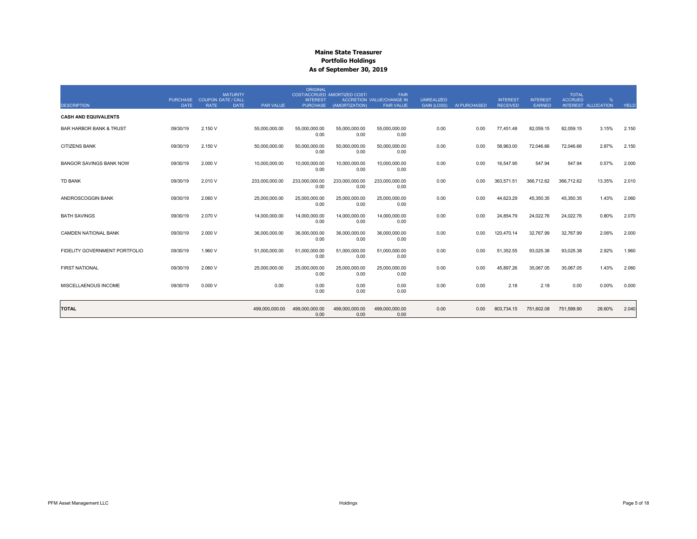| <b>DESCRIPTION</b>                 | <b>PURCHASE</b><br><b>DATE</b> | <b>COUPON DATE / CALL</b><br><b>RATE</b> | <b>MATURITY</b><br>PAR VALUE<br><b>DATE</b> | ORIGINAL<br><b>INTEREST</b> | COST/ACCRUED AMORTIZED COST/<br>PURCHASE (AMORTIZATION) | <b>FAIR</b><br><b>ACCRETION VALUE/CHANGE IN</b><br><b>FAIR VALUE</b> | <b>UNREALIZED</b><br><b>GAIN (LOSS)</b> | AI PURCHASED | <b>INTEREST</b><br><b>RECEIVED</b> | <b>INTEREST</b><br><b>EARNED</b> | <b>TOTAL</b><br><b>ACCRUED</b><br>INTEREST ALLOCATION | %      | YIELD |
|------------------------------------|--------------------------------|------------------------------------------|---------------------------------------------|-----------------------------|---------------------------------------------------------|----------------------------------------------------------------------|-----------------------------------------|--------------|------------------------------------|----------------------------------|-------------------------------------------------------|--------|-------|
| <b>CASH AND EQUIVALENTS</b>        |                                |                                          |                                             |                             |                                                         |                                                                      |                                         |              |                                    |                                  |                                                       |        |       |
| <b>BAR HARBOR BANK &amp; TRUST</b> | 09/30/19                       | 2.150 V                                  | 55,000,000.00                               | 55,000,000.00<br>0.00       | 55,000,000.00<br>0.00                                   | 55,000,000.00<br>0.00                                                | 0.00                                    | 0.00         | 77,451.48                          | 82,059.15                        | 82,059.15                                             | 3.15%  | 2.150 |
| <b>CITIZENS BANK</b>               | 09/30/19                       | 2.150 V                                  | 50,000,000.00                               | 50,000,000.00<br>0.00       | 50,000,000.00<br>0.00                                   | 50,000,000.00<br>0.00                                                | 0.00                                    | 0.00         | 58,963.00                          | 72,046.66                        | 72,046.66                                             | 2.87%  | 2.150 |
| <b>BANGOR SAVINGS BANK NOW</b>     | 09/30/19                       | 2.000 V                                  | 10,000,000.00                               | 10,000,000.00<br>0.00       | 10.000.000.00<br>0.00                                   | 10.000.000.00<br>0.00                                                | 0.00                                    | 0.00         | 16.547.95                          | 547.94                           | 547.94                                                | 0.57%  | 2.000 |
| <b>TD BANK</b>                     | 09/30/19                       | 2.010 V                                  | 233,000,000.00                              | 233,000,000.00<br>0.00      | 233,000,000.00<br>0.00                                  | 233,000,000.00<br>0.00                                               | 0.00                                    | 0.00         | 363,571.51                         | 366,712.62                       | 366,712.62                                            | 13.35% | 2.010 |
| ANDROSCOGGIN BANK                  | 09/30/19                       | 2.060 V                                  | 25,000,000.00                               | 25.000.000.00<br>0.00       | 25,000,000.00<br>0.00                                   | 25,000,000.00<br>0.00                                                | 0.00                                    | 0.00         | 44,623.29                          | 45,350.35                        | 45,350.35                                             | 1.43%  | 2.060 |
| <b>BATH SAVINGS</b>                | 09/30/19                       | 2.070 V                                  | 14,000,000.00                               | 14,000,000.00<br>0.00       | 14,000,000.00<br>0.00                                   | 14.000.000.00<br>0.00                                                | 0.00                                    | 0.00         | 24,854.79                          | 24,022.76                        | 24,022.76                                             | 0.80%  | 2.070 |
| <b>CAMDEN NATIONAL BANK</b>        | 09/30/19                       | 2.000 V                                  | 36,000,000.00                               | 36,000,000.00<br>0.00       | 36,000,000.00<br>0.00                                   | 36,000,000.00<br>0.00                                                | 0.00                                    | 0.00         | 120,470.14                         | 32,767.99                        | 32,767.99                                             | 2.06%  | 2.000 |
| FIDELITY GOVERNMENT PORTFOLIO      | 09/30/19                       | 1.960 V                                  | 51,000,000.00                               | 51,000,000.00<br>0.00       | 51,000,000.00<br>0.00                                   | 51,000,000.00<br>0.00                                                | 0.00                                    | 0.00         | 51,352.55                          | 93,025.38                        | 93,025.38                                             | 2.92%  | 1.960 |
| <b>FIRST NATIONAL</b>              | 09/30/19                       | 2.060 V                                  | 25,000,000.00                               | 25,000,000.00<br>0.00       | 25,000,000.00<br>0.00                                   | 25,000,000.00<br>0.00                                                | 0.00                                    | 0.00         | 45,897.26                          | 35,067.05                        | 35,067.05                                             | 1.43%  | 2.060 |
| MISCELLAENOUS INCOME               | 09/30/19                       | 0.000V                                   | 0.00                                        | 0.00<br>0.00                | 0.00<br>0.00                                            | 0.00<br>0.00                                                         | 0.00                                    | 0.00         | 2.18                               | 2.18                             | 0.00                                                  | 0.00%  | 0.000 |
| <b>TOTAL</b>                       |                                |                                          | 499,000,000.00                              | 499,000,000.00<br>0.00      | 499,000,000.00<br>0.00                                  | 499,000,000.00<br>0.00                                               | 0.00                                    | 0.00         | 803,734.15                         | 751,602.08                       | 751,599.90                                            | 28.60% | 2.040 |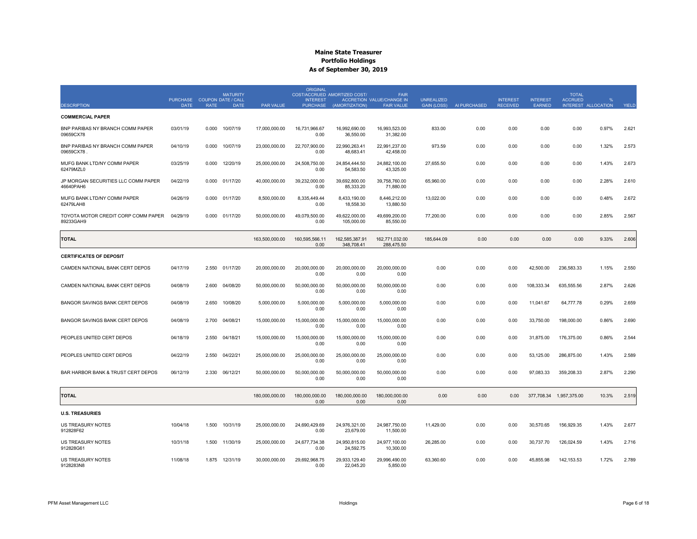| <b>DESCRIPTION</b>                               | PURCHASE COUPON DATE / CALL<br><b>DATE</b> | <b>RATE</b> | <b>MATURITY</b><br><b>DATE</b> | PAR VALUE      | <b>ORIGINAL</b><br><b>INTEREST</b><br><b>PURCHASE</b> | COST/ACCRUED AMORTIZED COST/<br>(AMORTIZATION) | <b>FAIR</b><br><b>ACCRETION VALUE/CHANGE IN</b><br><b>FAIR VALUE</b> | <b>UNREALIZED</b><br><b>GAIN (LOSS)</b> | AI PURCHASED | <b>INTEREST</b><br><b>RECEIVED</b> | <b>INTEREST</b><br>EARNED | <b>TOTAL</b><br><b>ACCRUED</b> | INTEREST ALLOCATION | <b>YIELD</b> |
|--------------------------------------------------|--------------------------------------------|-------------|--------------------------------|----------------|-------------------------------------------------------|------------------------------------------------|----------------------------------------------------------------------|-----------------------------------------|--------------|------------------------------------|---------------------------|--------------------------------|---------------------|--------------|
| <b>COMMERCIAL PAPER</b>                          |                                            |             |                                |                |                                                       |                                                |                                                                      |                                         |              |                                    |                           |                                |                     |              |
| BNP PARIBAS NY BRANCH COMM PAPER<br>09659CX78    | 03/01/19                                   | 0.000       | 10/07/19                       | 17,000,000.00  | 16.731.966.67<br>0.00                                 | 16.992.690.00<br>36,550.00                     | 16.993.523.00<br>31,382.00                                           | 833.00                                  | 0.00         | 0.00                               | 0.00                      | 0.00                           | 0.97%               | 2.621        |
| BNP PARIBAS NY BRANCH COMM PAPER<br>09659CX78    | 04/10/19                                   | 0.000       | 10/07/19                       | 23,000,000.00  | 22,707,900.00<br>0.00                                 | 22,990,263.41<br>48,683.41                     | 22,991,237.00<br>42,458.00                                           | 973.59                                  | 0.00         | 0.00                               | 0.00                      | 0.00                           | 1.32%               | 2.573        |
| MUFG BANK LTD/NY COMM PAPER<br>62479MZL0         | 03/25/19                                   | 0.000       | 12/20/19                       | 25,000,000.00  | 24,508,750.00<br>0.00                                 | 24,854,444.50<br>54,583.50                     | 24,882,100.00<br>43,325.00                                           | 27,655.50                               | 0.00         | 0.00                               | 0.00                      | 0.00                           | 1.43%               | 2.673        |
| JP MORGAN SECURITIES LLC COMM PAPER<br>46640PAH6 | 04/22/19                                   | 0.000       | 01/17/20                       | 40,000,000.00  | 39,232,000.00<br>0.00                                 | 39.692.800.00<br>85,333.20                     | 39.758.760.00<br>71,880.00                                           | 65,960.00                               | 0.00         | 0.00                               | 0.00                      | 0.00                           | 2.28%               | 2.610        |
| MUFG BANK LTD/NY COMM PAPER<br>62479LAH8         | 04/26/19                                   | 0.000       | 01/17/20                       | 8,500,000.00   | 8,335,449.44<br>0.00                                  | 8,433,190.00<br>18,558.30                      | 8,446,212.00<br>13,880.50                                            | 13,022.00                               | 0.00         | 0.00                               | 0.00                      | 0.00                           | 0.48%               | 2.672        |
| TOYOTA MOTOR CREDIT CORP COMM PAPER<br>89233GAH9 | 04/29/19                                   | 0.000       | 01/17/20                       | 50,000,000.00  | 49,079,500.00<br>0.00                                 | 49,622,000.00<br>105,000.00                    | 49,699,200.00<br>85,550.00                                           | 77,200.00                               | 0.00         | 0.00                               | 0.00                      | 0.00                           | 2.85%               | 2.567        |
| <b>TOTAL</b>                                     |                                            |             |                                | 163,500,000.00 | 160,595,566.11<br>0.00                                | 162,585,387.91<br>348,708.41                   | 162,771,032.00<br>288,475.50                                         | 185,644.09                              | 0.00         | 0.00                               | 0.00                      | 0.00                           | 9.33%               | 2.606        |
| <b>CERTIFICATES OF DEPOSIT</b>                   |                                            |             |                                |                |                                                       |                                                |                                                                      |                                         |              |                                    |                           |                                |                     |              |
| CAMDEN NATIONAL BANK CERT DEPOS                  | 04/17/19                                   | 2.550       | 01/17/20                       | 20,000,000.00  | 20,000,000.00<br>0.00                                 | 20,000,000.00<br>0.00                          | 20,000,000.00<br>0.00                                                | 0.00                                    | 0.00         | 0.00                               | 42,500.00                 | 236,583.33                     | 1.15%               | 2.550        |
| CAMDEN NATIONAL BANK CERT DEPOS                  | 04/08/19                                   | 2.600       | 04/08/20                       | 50,000,000.00  | 50,000,000.00<br>0.00                                 | 50,000,000.00<br>0.00                          | 50,000,000.00<br>0.00                                                | 0.00                                    | 0.00         | 0.00                               | 108,333.34                | 635,555.56                     | 2.87%               | 2.626        |
| BANGOR SAVINGS BANK CERT DEPOS                   | 04/08/19                                   | 2.650       | 10/08/20                       | 5,000,000.00   | 5,000,000.00<br>0.00                                  | 5,000,000.00<br>0.00                           | 5,000,000.00<br>0.00                                                 | 0.00                                    | 0.00         | 0.00                               | 11,041.67                 | 64,777.78                      | 0.29%               | 2.659        |
| BANGOR SAVINGS BANK CERT DEPOS                   | 04/08/19                                   | 2.700       | 04/08/21                       | 15,000,000.00  | 15,000,000.00<br>0.00                                 | 15,000,000.00<br>0.00                          | 15,000,000.00<br>0.00                                                | 0.00                                    | 0.00         | 0.00                               | 33,750.00                 | 198,000.00                     | 0.86%               | 2.690        |
| PEOPLES UNITED CERT DEPOS                        | 04/18/19                                   | 2.550       | 04/18/21                       | 15,000,000.00  | 15,000,000.00<br>0.00                                 | 15,000,000.00<br>0.00                          | 15,000,000.00<br>0.00                                                | 0.00                                    | 0.00         | 0.00                               | 31,875.00                 | 176,375.00                     | 0.86%               | 2.544        |
| PEOPLES UNITED CERT DEPOS                        | 04/22/19                                   | 2.550       | 04/22/21                       | 25,000,000.00  | 25,000,000.00<br>0.00                                 | 25,000,000.00<br>0.00                          | 25,000,000.00<br>0.00                                                | 0.00                                    | 0.00         | 0.00                               | 53,125.00                 | 286,875.00                     | 1.43%               | 2.589        |
| BAR HARBOR BANK & TRUST CERT DEPOS               | 06/12/19                                   | 2.330       | 06/12/21                       | 50,000,000.00  | 50,000,000.00<br>0.00                                 | 50,000,000.00<br>0.00                          | 50,000,000.00<br>0.00                                                | 0.00                                    | 0.00         | 0.00                               | 97,083.33                 | 359,208.33                     | 2.87%               | 2.290        |
| <b>TOTAL</b>                                     |                                            |             |                                | 180,000,000.00 | 180.000.000.00<br>0.00                                | 180.000.000.00<br>0.00                         | 180.000.000.00<br>0.00                                               | 0.00                                    | 0.00         | 0.00                               |                           | 377,708.34 1,957,375.00        | 10.3%               | 2.519        |
| <b>U.S. TREASURIES</b>                           |                                            |             |                                |                |                                                       |                                                |                                                                      |                                         |              |                                    |                           |                                |                     |              |
| US TREASURY NOTES<br>912828F62                   | 10/04/18                                   | 1.500       | 10/31/19                       | 25,000,000.00  | 24.690.429.69<br>0.00                                 | 24.976.321.00<br>23,679.00                     | 24.987.750.00<br>11,500.00                                           | 11,429.00                               | 0.00         | 0.00                               | 30,570.65                 | 156.929.35                     | 1.43%               | 2.677        |
| US TREASURY NOTES<br>912828G61                   | 10/31/18                                   | 1.500       | 11/30/19                       | 25,000,000.00  | 24,677,734.38<br>0.00                                 | 24,950,815.00<br>24,592.75                     | 24,977,100.00<br>10,300.00                                           | 26,285.00                               | 0.00         | 0.00                               | 30,737.70                 | 126,024.59                     | 1.43%               | 2.716        |
| US TREASURY NOTES<br>9128283N8                   | 11/08/18                                   |             | 1.875 12/31/19                 | 30,000,000.00  | 29,692,968.75<br>0.00                                 | 29,933,129.40<br>22,045.20                     | 29,996,490.00<br>5,850.00                                            | 63,360.60                               | 0.00         | 0.00                               | 45,855.98                 | 142, 153.53                    | 1.72%               | 2.789        |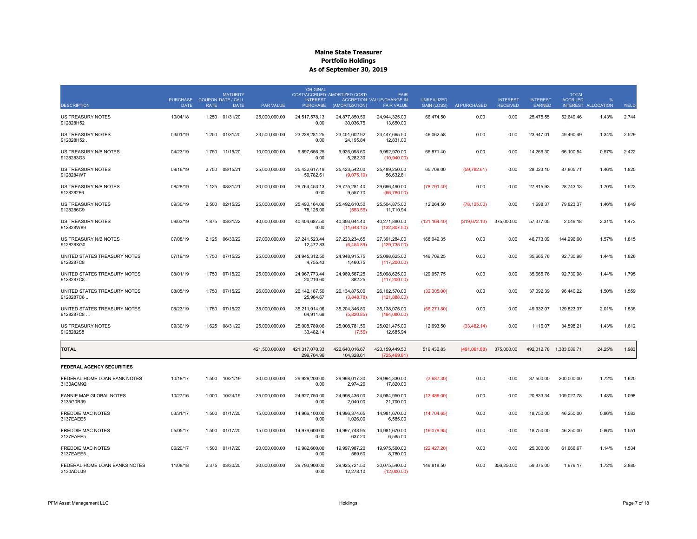|                                            |                                |                                          | <b>MATURITY</b> |                  | <b>ORIGINAL</b>                    | COST/ACCRUED AMORTIZED COST/  | <b>FAIR</b>                                    |                                         |              |                                    |                           | <b>TOTAL</b>   |                                      |       |
|--------------------------------------------|--------------------------------|------------------------------------------|-----------------|------------------|------------------------------------|-------------------------------|------------------------------------------------|-----------------------------------------|--------------|------------------------------------|---------------------------|----------------|--------------------------------------|-------|
| <b>DESCRIPTION</b>                         | <b>PURCHASE</b><br><b>DATE</b> | <b>COUPON DATE / CALL</b><br><b>RATE</b> | <b>DATE</b>     | <b>PAR VALUE</b> | <b>INTEREST</b><br><b>PURCHASE</b> | (AMORTIZATION)                | ACCRETION VALUE/CHANGE IN<br><b>FAIR VALUE</b> | <b>UNREALIZED</b><br><b>GAIN (LOSS)</b> | AI PURCHASED | <b>INTEREST</b><br><b>RECEIVED</b> | <b>INTEREST</b><br>EARNED | <b>ACCRUED</b> | $\frac{Q}{C}$<br>INTEREST ALLOCATION | YIELD |
| <b>US TREASURY NOTES</b><br>912828H52      | 10/04/18                       | 1.250                                    | 01/31/20        | 25.000.000.00    | 24.517.578.13<br>0.00              | 24.877.850.50<br>30,036.75    | 24.944.325.00<br>13,650.00                     | 66.474.50                               | 0.00         | 0.00                               | 25.475.55                 | 52.649.46      | 1.43%                                | 2.744 |
| US TREASURY NOTES<br>912828H52             | 03/01/19                       | 1.250                                    | 01/31/20        | 23,500,000.00    | 23,228,281.25<br>0.00              | 23,401,602.92<br>24,195.84    | 23,447,665.50<br>12,831.00                     | 46,062.58                               | 0.00         | 0.00                               | 23,947.01                 | 49,490.49      | 1.34%                                | 2.529 |
| US TREASURY N/B NOTES<br>9128283G3         | 04/23/19                       | 1.750                                    | 11/15/20        | 10,000,000.00    | 9,897,656.25<br>0.00               | 9.926.098.60<br>5,282.30      | 9.992.970.00<br>(10,940.00)                    | 66,871.40                               | 0.00         | 0.00                               | 14,266.30                 | 66,100.54      | 0.57%                                | 2.422 |
| US TREASURY NOTES<br>9128284W7             | 09/16/19                       | 2.750                                    | 08/15/21        | 25,000,000.00    | 25,432,617.19<br>59,782.61         | 25,423,542.00<br>(9,075.19)   | 25,489,250.00<br>56,632.81                     | 65,708.00                               | (59, 782.61) | 0.00                               | 28,023.10                 | 87,805.71      | 1.46%                                | 1.825 |
| US TREASURY N/B NOTES<br>9128282F6         | 08/28/19                       | 1.125                                    | 08/31/21        | 30,000,000.00    | 29,764,453.13<br>0.00              | 29,775,281.40<br>9,557.70     | 29,696,490.00<br>(66,780.00)                   | (78, 791.40)                            | 0.00         | 0.00                               | 27.815.93                 | 28,743.13      | 1.70%                                | 1.523 |
| US TREASURY NOTES<br>9128286C9             | 09/30/19                       | 2.500                                    | 02/15/22        | 25,000,000.00    | 25,493,164.06<br>78,125.00         | 25,492,610.50<br>(553.56)     | 25,504,875.00<br>11,710.94                     | 12,264.50                               | (78, 125.00) | 0.00                               | 1,698.37                  | 79,823.37      | 1.46%                                | 1.649 |
| <b>US TREASURY NOTES</b><br>912828W89      | 09/03/19                       | 1.875                                    | 03/31/22        | 40.000.000.00    | 40.404.687.50<br>0.00              | 40.393.044.40<br>(11,643.10)  | 40.271.880.00<br>(132, 807.50)                 | (121, 164.40)                           | (319.672.13) | 375,000.00                         | 57.377.05                 | 2.049.18       | 2.31%                                | 1.473 |
| US TREASURY N/B NOTES<br>912828XG0         | 07/08/19                       | 2.125                                    | 06/30/22        | 27,000,000.00    | 27,241,523.44<br>12,472.83         | 27,223,234.65<br>(6,454.89)   | 27,391,284.00<br>(129, 735.00)                 | 168,049.35                              | 0.00         | 0.00                               | 46,773.09                 | 144,996.60     | 1.57%                                | 1.815 |
| UNITED STATES TREASURY NOTES<br>9128287C8  | 07/19/19                       | 1.750                                    | 07/15/22        | 25,000,000.00    | 24,945,312.50<br>4,755.43          | 24,948,915.75<br>1,460.75     | 25,098,625.00<br>(117, 200.00)                 | 149,709.25                              | 0.00         | 0.00                               | 35,665.76                 | 92,730.98      | 1.44%                                | 1.826 |
| UNITED STATES TREASURY NOTES<br>9128287C8  | 08/01/19                       | 1.750                                    | 07/15/22        | 25,000,000.00    | 24,967,773.44<br>20,210.60         | 24,969,567.25<br>882.25       | 25,098,625.00<br>(117, 200.00)                 | 129,057.75                              | 0.00         | 0.00                               | 35,665.76                 | 92,730.98      | 1.44%                                | 1.795 |
| UNITED STATES TREASURY NOTES<br>9128287C8  | 08/05/19                       | 1.750                                    | 07/15/22        | 26,000,000.00    | 26, 142, 187.50<br>25,964.67       | 26, 134, 875.00<br>(3,848.78) | 26,102,570.00<br>(121, 888.00)                 | (32, 305.00)                            | 0.00         | 0.00                               | 37,092.39                 | 96,440.22      | 1.50%                                | 1.559 |
| UNITED STATES TREASURY NOTES<br>9128287C8  | 08/23/19                       | 1.750                                    | 07/15/22        | 35,000,000.00    | 35,211,914.06<br>64.911.68         | 35,204,346.80<br>(5.820.85)   | 35,138,075.00<br>(164,080.00)                  | (66, 271.80)                            | 0.00         | 0.00                               | 49,932.07                 | 129,823.37     | 2.01%                                | 1.535 |
| <b>US TREASURY NOTES</b><br>9128282S8      | 09/30/19                       | 1.625                                    | 08/31/22        | 25.000.000.00    | 25.008.789.06<br>33,482.14         | 25.008.781.50<br>(7.56)       | 25.021.475.00<br>12,685.94                     | 12.693.50                               | (33, 482.14) | 0.00                               | 1.116.07                  | 34.598.21      | 1.43%                                | 1.612 |
| <b>TOTAL</b>                               |                                |                                          |                 | 421.500.000.00   | 421,317,070.33<br>299,704.96       | 422.640.016.67<br>104,328.61  | 423, 159, 449.50<br>(725, 469.81)              | 519,432.83                              | (491,061.88) | 375,000.00                         | 492,012.78  1,383,089.71  |                | 24.25%                               | 1.983 |
| <b>FEDERAL AGENCY SECURITIES</b>           |                                |                                          |                 |                  |                                    |                               |                                                |                                         |              |                                    |                           |                |                                      |       |
| FEDERAL HOME LOAN BANK NOTES<br>3130ACM92  | 10/18/17                       | 1.500                                    | 10/21/19        | 30.000.000.00    | 29.929.200.00<br>0.00              | 29.998.017.30<br>2,974.20     | 29.994.330.00<br>17,820.00                     | (3,687.30)                              | 0.00         | 0.00                               | 37,500.00                 | 200.000.00     | 1.72%                                | 1.620 |
| FANNIE MAE GLOBAL NOTES<br>3135G0R39       | 10/27/16                       | 1.000                                    | 10/24/19        | 25,000,000.00    | 24,927,750.00<br>0.00              | 24,998,436.00<br>2,040.00     | 24,984,950.00<br>21,700.00                     | (13, 486.00)                            | 0.00         | 0.00                               | 20,833.34                 | 109,027.78     | 1.43%                                | 1.098 |
| <b>FREDDIE MAC NOTES</b><br>3137EAEE5      | 03/31/17                       | 1.500                                    | 01/17/20        | 15,000,000.00    | 14,966,100.00<br>0.00              | 14.996.374.65<br>1.026.00     | 14.981.670.00<br>6.585.00                      | (14,704.65)                             | 0.00         | 0.00                               | 18,750.00                 | 46,250.00      | 0.86%                                | 1.583 |
| <b>FREDDIE MAC NOTES</b><br>3137EAEE5.     | 05/05/17                       | 1.500                                    | 01/17/20        | 15,000,000.00    | 14,979,600.00<br>0.00              | 14,997,748.95<br>637.20       | 14,981,670.00<br>6,585.00                      | (16,078.95)                             | 0.00         | 0.00                               | 18,750.00                 | 46,250.00      | 0.86%                                | 1.551 |
| <b>FREDDIE MAC NOTES</b><br>3137EAEE5      | 06/20/17                       | 1.500                                    | 01/17/20        | 20,000,000.00    | 19.982.600.00<br>0.00              | 19,997,987.20<br>569.60       | 19,975,560.00<br>8,780.00                      | (22, 427.20)                            | 0.00         | 0.00                               | 25,000.00                 | 61.666.67      | 1.14%                                | 1.534 |
| FEDERAL HOME LOAN BANKS NOTES<br>3130ADUJ9 | 11/08/18                       | 2.375                                    | 03/30/20        | 30,000,000.00    | 29,793,900.00<br>0.00              | 29,925,721.50<br>12,278.10    | 30,075,540.00<br>(12,000.00)                   | 149,818.50                              | 0.00         | 356,250.00                         | 59,375.00                 | 1,979.17       | 1.72%                                | 2.880 |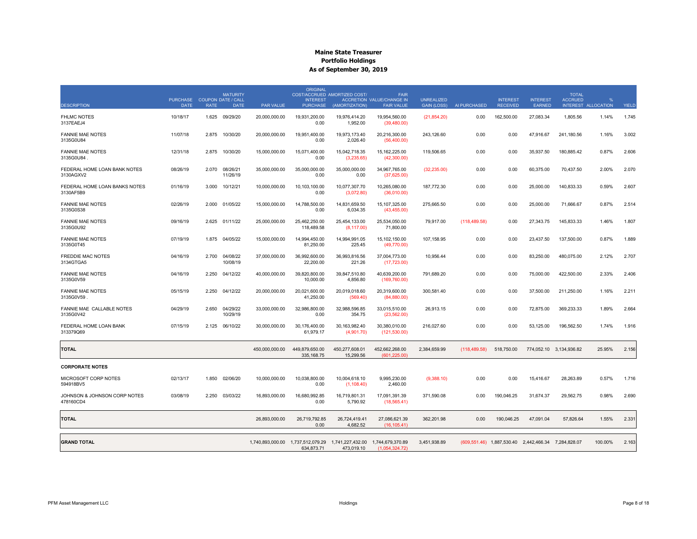|                                            |                                            |             | <b>MATURITY</b>            |                  | <b>ORIGINAL</b>                    | COST/ACCRUED AMORTIZED COST/                                                         | <b>FAIR</b>                                           |                                         |               |                                    |                                                     | <b>TOTAL</b>            |                                       |       |
|--------------------------------------------|--------------------------------------------|-------------|----------------------------|------------------|------------------------------------|--------------------------------------------------------------------------------------|-------------------------------------------------------|-----------------------------------------|---------------|------------------------------------|-----------------------------------------------------|-------------------------|---------------------------------------|-------|
| <b>DESCRIPTION</b>                         | PURCHASE COUPON DATE / CALL<br><b>DATE</b> | <b>RATE</b> | <b>DATE</b>                | <b>PAR VALUE</b> | <b>INTEREST</b><br><b>PURCHASE</b> | (AMORTIZATION)                                                                       | <b>ACCRETION VALUE/CHANGE IN</b><br><b>FAIR VALUE</b> | <b>UNREALIZED</b><br><b>GAIN (LOSS)</b> | AI PURCHASED  | <b>INTEREST</b><br><b>RECEIVED</b> | <b>INTEREST</b><br>EARNED                           | <b>ACCRUED</b>          | $\mathbf{Q}_c$<br>INTEREST ALLOCATION | YIELD |
| <b>FHLMC NOTES</b><br>3137EAEJ4            | 10/18/17                                   | 1.625       | 09/29/20                   | 20,000,000.00    | 19,931,200.00<br>0.00              | 19,976,414.20<br>1,952.00                                                            | 19,954,560.00<br>(39, 480.00)                         | (21, 854.20)                            | 0.00          | 162,500.00                         | 27,083.34                                           | 1,805.56                | 1.14%                                 | 1.745 |
| <b>FANNIE MAE NOTES</b><br>3135G0U84       | 11/07/18                                   | 2.875       | 10/30/20                   | 20.000.000.00    | 19.951.400.00<br>0.00              | 19.973.173.40<br>2,026.40                                                            | 20.216.300.00<br>(56, 400.00)                         | 243.126.60                              | 0.00          | 0.00                               | 47.916.67                                           | 241.180.56              | 1.16%                                 | 3.002 |
| <b>FANNIE MAE NOTES</b><br>3135G0U84.      | 12/31/18                                   | 2.875       | 10/30/20                   | 15,000,000.00    | 15,071,400.00<br>0.00              | 15,042,718.35<br>(3,235.65)                                                          | 15, 162, 225.00<br>(42,300.00)                        | 119,506.65                              | 0.00          | 0.00                               | 35,937.50                                           | 180,885.42              | 0.87%                                 | 2.606 |
| FEDERAL HOME LOAN BANK NOTES<br>3130AGXV2  | 08/26/19                                   |             | 2.070 08/26/21<br>11/26/19 | 35,000,000.00    | 35,000,000.00<br>0.00              | 35,000,000.00<br>0.00                                                                | 34,967,765.00<br>(37,625.00)                          | (32, 235.00)                            | 0.00          | 0.00                               | 60,375.00                                           | 70,437.50               | 2.00%                                 | 2.070 |
| FEDERAL HOME LOAN BANKS NOTES<br>3130AF5B9 | 01/16/19                                   | 3.000       | 10/12/21                   | 10,000,000.00    | 10,103,100.00<br>0.00              | 10,077,307.70<br>(3,072.80)                                                          | 10,265,080.00<br>(36,010.00)                          | 187,772.30                              | 0.00          | 0.00                               | 25,000.00                                           | 140,833.33              | 0.59%                                 | 2.607 |
| <b>FANNIE MAE NOTES</b><br>3135G0S38       | 02/26/19                                   | 2.000       | 01/05/22                   | 15,000,000.00    | 14,788,500.00<br>0.00              | 14,831,659.50<br>6,034.35                                                            | 15,107,325.00<br>(43, 455.00)                         | 275,665.50                              | 0.00          | 0.00                               | 25,000.00                                           | 71,666.67               | 0.87%                                 | 2.514 |
| <b>FANNIE MAE NOTES</b><br>3135G0U92       | 09/16/19                                   | 2.625       | 01/11/22                   | 25,000,000.00    | 25,462,250.00<br>118,489.58        | 25,454,133.00<br>(8, 117.00)                                                         | 25,534,050.00<br>71,800.00                            | 79,917.00                               | (118, 489.58) | 0.00                               | 27,343.75                                           | 145,833.33              | 1.46%                                 | 1.807 |
| <b>FANNIE MAE NOTES</b><br>3135G0T45       | 07/19/19                                   |             | 1.875 04/05/22             | 15,000,000.00    | 14,994,450.00<br>81,250.00         | 14,994,991.05<br>225.45                                                              | 15,102,150.00<br>(49,770.00)                          | 107,158.95                              | 0.00          | 0.00                               | 23,437.50                                           | 137,500.00              | 0.87%                                 | 1.889 |
| <b>FREDDIE MAC NOTES</b><br>3134GTGA5      | 04/16/19                                   | 2.700       | 04/08/22<br>10/08/19       | 37.000.000.00    | 36.992.600.00<br>22,200.00         | 36.993.816.56<br>221.26                                                              | 37,004,773.00<br>(17, 723.00)                         | 10.956.44                               | 0.00          | 0.00                               | 83.250.00                                           | 480.075.00              | 2.12%                                 | 2.707 |
| <b>FANNIE MAE NOTES</b><br>3135G0V59       | 04/16/19                                   | 2.250       | 04/12/22                   | 40,000,000.00    | 39,820,800.00<br>10,000.00         | 39,847,510.80<br>4,856.80                                                            | 40,639,200.00<br>(169, 760.00)                        | 791,689.20                              | 0.00          | 0.00                               | 75,000.00                                           | 422,500.00              | 2.33%                                 | 2.406 |
| <b>FANNIE MAE NOTES</b><br>3135G0V59       | 05/15/19                                   | 2.250       | 04/12/22                   | 20,000,000.00    | 20,021,600.00<br>41,250.00         | 20,019,018.60<br>(569.40)                                                            | 20,319,600.00<br>(84,880.00)                          | 300,581.40                              | 0.00          | 0.00                               | 37,500.00                                           | 211,250.00              | 1.16%                                 | 2.211 |
| FANNIE MAE CALLABLE NOTES<br>3135G0V42     | 04/29/19                                   | 2.650       | 04/29/22<br>10/29/19       | 33,000,000.00    | 32,986,800.00<br>0.00              | 32,988,596.85<br>354.75                                                              | 33,015,510.00<br>(23, 562.00)                         | 26,913.15                               | 0.00          | 0.00                               | 72,875.00                                           | 369,233.33              | 1.89%                                 | 2.664 |
| FEDERAL HOME LOAN BANK<br>313379Q69        | 07/15/19                                   | 2.125       | 06/10/22                   | 30,000,000.00    | 30,176,400.00<br>61,979.17         | 30,163,982.40<br>(4,901.70)                                                          | 30,380,010.00<br>(121, 530.00)                        | 216,027.60                              | 0.00          | 0.00                               | 53,125.00                                           | 196,562.50              | 1.74%                                 | 1.916 |
| <b>TOTAL</b>                               |                                            |             |                            | 450,000,000.00   | 449,879,650.00<br>335, 168.75      | 450,277,608.01<br>15,299.56                                                          | 452,662,268.00<br>(601, 225.00)                       | 2,384,659.99                            | (118, 489.58) | 518,750.00                         |                                                     | 774,052.10 3,134,936.82 | 25.95%                                | 2.156 |
| <b>CORPORATE NOTES</b>                     |                                            |             |                            |                  |                                    |                                                                                      |                                                       |                                         |               |                                    |                                                     |                         |                                       |       |
| MICROSOFT CORP NOTES<br>594918BV5          | 02/13/17                                   | 1.850       | 02/06/20                   | 10,000,000.00    | 10,038,800.00<br>0.00              | 10,004,618.10<br>(1, 108.40)                                                         | 9,995,230.00<br>2,460.00                              | (9,388.10)                              | 0.00          | 0.00                               | 15,416.67                                           | 28,263.89               | 0.57%                                 | 1.716 |
| JOHNSON & JOHNSON CORP NOTES<br>478160CD4  | 03/08/19                                   | 2.250       | 03/03/22                   | 16,893,000.00    | 16,680,992.85<br>0.00              | 16,719,801.31<br>5,790.92                                                            | 17,091,391.39<br>(18, 565.41)                         | 371,590.08                              | 0.00          | 190,046.25                         | 31,674.37                                           | 29,562.75               | 0.98%                                 | 2.690 |
| <b>TOTAL</b>                               |                                            |             |                            | 26,893,000.00    | 26,719,792.85<br>0.00              | 26,724,419.41<br>4,682.52                                                            | 27,086,621.39<br>(16, 105.41)                         | 362,201.98                              | 0.00          | 190,046.25                         | 47,091.04                                           | 57,826.64               | 1.55%                                 | 2.331 |
| <b>GRAND TOTAL</b>                         |                                            |             |                            |                  | 634,873.71                         | 1.740.893.000.00  1.737.512.079.29  1.741.227.432.00  1.744.679.370.89<br>473,019.10 | (1.054.324.72)                                        | 3.451.938.89                            |               |                                    | (609.551.46) 1.887.530.40 2.442.466.34 7.284.828.07 |                         | 100.00%                               | 2.163 |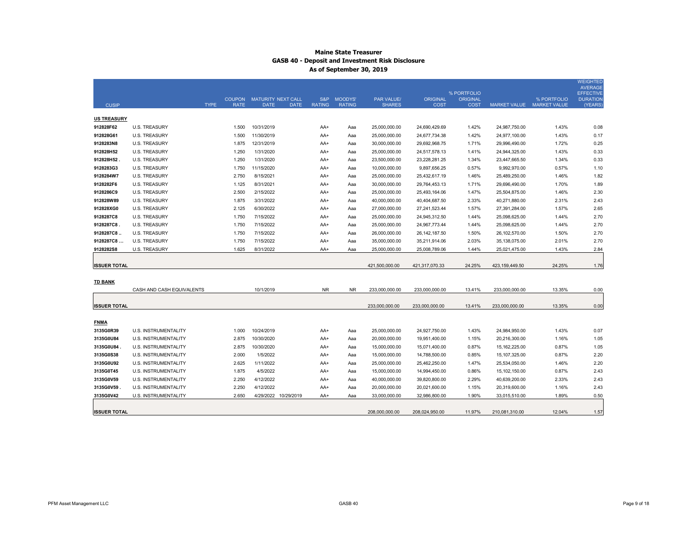|                     |                             |                            |                           |                              |               |                   |                 | % PORTFOLIO     |                 |                           | WEIGHTED<br><b>AVERAGE</b><br><b>EFFECTIVE</b> |
|---------------------|-----------------------------|----------------------------|---------------------------|------------------------------|---------------|-------------------|-----------------|-----------------|-----------------|---------------------------|------------------------------------------------|
|                     |                             |                            | COUPON MATURITY NEXT CALL |                              | S&P MOODYS'   | <b>PAR VALUE/</b> | <b>ORIGINAL</b> | <b>ORIGINAL</b> |                 | % PORTFOLIO               | <b>DURATION</b>                                |
| <b>CUSIP</b>        |                             | <b>TYPE</b><br><b>RATE</b> | <b>DATE</b>               | <b>RATING</b><br><b>DATE</b> | <b>RATING</b> | <b>SHARES</b>     | <b>COST</b>     | <b>COST</b>     |                 | MARKET VALUE MARKET VALUE | (YEARS)                                        |
| <b>US TREASURY</b>  |                             |                            |                           |                              |               |                   |                 |                 |                 |                           |                                                |
| 912828F62           | <b>U.S. TREASURY</b>        | 1.500                      | 10/31/2019                | AA+                          | Aaa           | 25,000,000.00     | 24,690,429.69   | 1.42%           | 24,987,750.00   | 1.43%                     | 0.08                                           |
| 912828G61           | <b>U.S. TREASURY</b>        | 1.500                      | 11/30/2019                | AA+                          | Aaa           | 25,000,000.00     | 24,677,734.38   | 1.42%           | 24,977,100.00   | 1.43%                     | 0.17                                           |
| 9128283N8           | <b>U.S. TREASURY</b>        | 1.875                      | 12/31/2019                | AA+                          | Aaa           | 30,000,000.00     | 29,692,968.75   | 1.71%           | 29,996,490.00   | 1.72%                     | 0.25                                           |
| 912828H52           | <b>U.S. TREASURY</b>        | 1.250                      | 1/31/2020                 | AA+                          | Aaa           | 25,000,000.00     | 24,517,578.13   | 1.41%           | 24,944,325.00   | 1.43%                     | 0.33                                           |
| 912828H52           | <b>U.S. TREASURY</b>        | 1.250                      | 1/31/2020                 | AA+                          | Aaa           | 23,500,000.00     | 23,228,281.25   | 1.34%           | 23,447,665.50   | 1.34%                     | 0.33                                           |
| 9128283G3           | <b>U.S. TREASURY</b>        | 1.750                      | 11/15/2020                | AA+                          | Aaa           | 10,000,000.00     | 9,897,656.25    | 0.57%           | 9,992,970.00    | 0.57%                     | 1.10                                           |
| 9128284W7           | <b>U.S. TREASURY</b>        | 2.750                      | 8/15/2021                 | AA+                          | Aaa           | 25,000,000.00     | 25,432,617.19   | 1.46%           | 25,489,250.00   | 1.46%                     | 1.82                                           |
| 9128282F6           | <b>U.S. TREASURY</b>        | 1.125                      | 8/31/2021                 | AA+                          | Aaa           | 30,000,000.00     | 29,764,453.13   | 1.71%           | 29,696,490.00   | 1.70%                     | 1.89                                           |
| 9128286C9           | <b>U.S. TREASURY</b>        | 2.500                      | 2/15/2022                 | AA+                          | Aaa           | 25,000,000.00     | 25,493,164.06   | 1.47%           | 25,504,875.00   | 1.46%                     | 2.30                                           |
| 912828W89           | <b>U.S. TREASURY</b>        | 1.875                      | 3/31/2022                 | AA+                          | Aaa           | 40,000,000.00     | 40,404,687.50   | 2.33%           | 40,271,880.00   | 2.31%                     | 2.43                                           |
| 912828XG0           | <b>U.S. TREASURY</b>        | 2.125                      | 6/30/2022                 | AA+                          | Aaa           | 27,000,000.00     | 27,241,523.44   | 1.57%           | 27,391,284.00   | 1.57%                     | 2.65                                           |
| 9128287C8           | <b>U.S. TREASURY</b>        | 1.750                      | 7/15/2022                 | AA+                          | Aaa           | 25,000,000.00     | 24,945,312.50   | 1.44%           | 25,098,625.00   | 1.44%                     | 2.70                                           |
| 9128287C8.          | <b>U.S. TREASURY</b>        | 1.750                      | 7/15/2022                 | AA+                          | Aaa           | 25,000,000.00     | 24,967,773.44   | 1.44%           | 25,098,625.00   | 1.44%                     | 2.70                                           |
| 9128287C8           | <b>U.S. TREASURY</b>        | 1.750                      | 7/15/2022                 | AA+                          | Aaa           | 26,000,000.00     | 26, 142, 187.50 | 1.50%           | 26,102,570.00   | 1.50%                     | 2.70                                           |
| 9128287C8           | <b>U.S. TREASURY</b>        | 1.750                      | 7/15/2022                 | AA+                          | Aaa           | 35,000,000.00     | 35,211,914.06   | 2.03%           | 35,138,075.00   | 2.01%                     | 2.70                                           |
| 9128282S8           | <b>U.S. TREASURY</b>        | 1.625                      | 8/31/2022                 | AA+                          | Aaa           | 25,000,000.00     | 25,008,789.06   | 1.44%           | 25,021,475.00   | 1.43%                     | 2.84                                           |
|                     |                             |                            |                           |                              |               |                   |                 |                 |                 |                           |                                                |
| <b>ISSUER TOTAL</b> |                             |                            |                           |                              |               | 421,500,000.00    | 421,317,070.33  | 24.25%          | 423,159,449.50  | 24.25%                    | 1.76                                           |
|                     |                             |                            |                           |                              |               |                   |                 |                 |                 |                           |                                                |
| <b>TD BANK</b>      | CASH AND CASH EQUIVALENTS   |                            | 10/1/2019                 | <b>NR</b>                    | <b>NR</b>     | 233,000,000.00    | 233,000,000.00  | 13.41%          | 233,000,000.00  | 13.35%                    | 0.00                                           |
|                     |                             |                            |                           |                              |               |                   |                 |                 |                 |                           |                                                |
| <b>ISSUER TOTAL</b> |                             |                            |                           |                              |               | 233,000,000.00    | 233,000,000.00  | 13.41%          | 233,000,000.00  | 13.35%                    | 0.00                                           |
|                     |                             |                            |                           |                              |               |                   |                 |                 |                 |                           |                                                |
| <b>FNMA</b>         |                             |                            |                           |                              |               |                   |                 |                 |                 |                           |                                                |
| 3135G0R39           | <b>U.S. INSTRUMENTALITY</b> | 1.000                      | 10/24/2019                | AA+                          | Aaa           | 25,000,000.00     | 24,927,750.00   | 1.43%           | 24,984,950.00   | 1.43%                     | 0.07                                           |
| 3135G0U84           | <b>U.S. INSTRUMENTALITY</b> | 2.875                      | 10/30/2020                | AA+                          | Aaa           | 20,000,000.00     | 19,951,400.00   | 1.15%           | 20,216,300.00   | 1.16%                     | 1.05                                           |
| 3135G0U84.          | U.S. INSTRUMENTALITY        | 2.875                      | 10/30/2020                | AA+                          | Aaa           | 15,000,000.00     | 15,071,400.00   | 0.87%           | 15, 162, 225.00 | 0.87%                     | 1.05                                           |
| 3135G0S38           | U.S. INSTRUMENTALITY        | 2.000                      | 1/5/2022                  | AA+                          | Aaa           | 15,000,000.00     | 14,788,500.00   | 0.85%           | 15,107,325.00   | 0.87%                     | 2.20                                           |
| 3135G0U92           | U.S. INSTRUMENTALITY        | 2.625                      | 1/11/2022                 | AA+                          | Aaa           | 25,000,000.00     | 25,462,250.00   | 1.47%           | 25,534,050.00   | 1.46%                     | 2.20                                           |
| 3135G0T45           | U.S. INSTRUMENTALITY        | 1.875                      | 4/5/2022                  | AA+                          | Aaa           | 15,000,000.00     | 14,994,450.00   | 0.86%           | 15,102,150.00   | 0.87%                     | 2.43                                           |
| 3135G0V59           | <b>U.S. INSTRUMENTALITY</b> | 2.250                      | 4/12/2022                 | AA+                          | Aaa           | 40,000,000.00     | 39,820,800.00   | 2.29%           | 40,639,200.00   | 2.33%                     | 2.43                                           |
| 3135G0V59           | U.S. INSTRUMENTALITY        | 2.250                      | 4/12/2022                 | AA+                          | Aaa           | 20,000,000.00     | 20,021,600.00   | 1.15%           | 20,319,600.00   | 1.16%                     | 2.43                                           |
| 3135G0V42           | <b>U.S. INSTRUMENTALITY</b> | 2.650                      | 4/29/2022                 | 10/29/2019<br>AA+            | Aaa           | 33,000,000.00     | 32,986,800.00   | 1.90%           | 33,015,510.00   | 1.89%                     | 0.50                                           |
|                     |                             |                            |                           |                              |               |                   |                 |                 |                 |                           |                                                |
| <b>ISSUER TOTAL</b> |                             |                            |                           |                              |               | 208,000,000.00    | 208,024,950.00  | 11.97%          | 210,081,310.00  | 12.04%                    | 1.57                                           |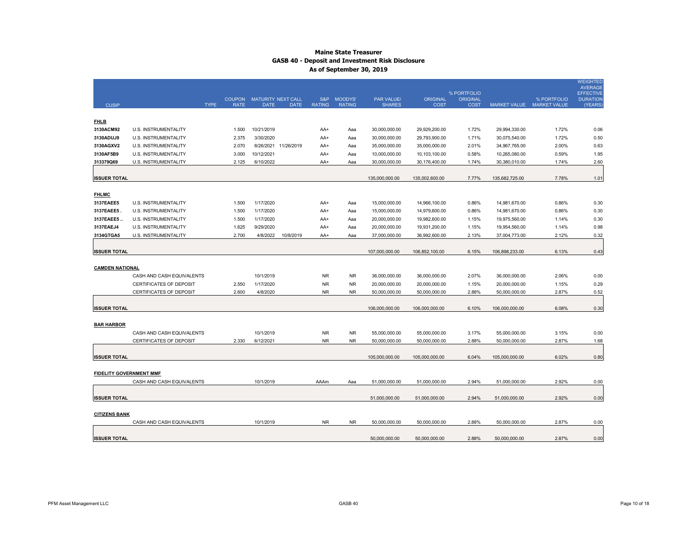|                                |                                                     |                | COUPON MATURITY NEXT CALL |                      | S&P           | MOODYS'       | PAR VALUE/                     | <b>ORIGINAL</b>                | % PORTFOLIO<br><b>ORIGINAL</b> |                                | % PORTFOLIO               | <b>WEIGHTED</b><br><b>AVERAGE</b><br><b>EFFECTIVE</b><br><b>DURATION</b> |
|--------------------------------|-----------------------------------------------------|----------------|---------------------------|----------------------|---------------|---------------|--------------------------------|--------------------------------|--------------------------------|--------------------------------|---------------------------|--------------------------------------------------------------------------|
| <b>CUSIP</b>                   | <b>TYPE</b>                                         | <b>RATE</b>    | <b>DATE</b>               | <b>DATE</b>          | <b>RATING</b> | <b>RATING</b> | <b>SHARES</b>                  | <b>COST</b>                    | <b>COST</b>                    |                                | MARKET VALUE MARKET VALUE | (YEARS)                                                                  |
|                                |                                                     |                |                           |                      |               |               |                                |                                |                                |                                |                           |                                                                          |
| <b>FHLB</b>                    |                                                     |                |                           |                      |               |               |                                |                                |                                |                                |                           |                                                                          |
| 3130ACM92                      | U.S. INSTRUMENTALITY                                | 1.500          | 10/21/2019                |                      | AA+           | Aaa           | 30,000,000.00                  | 29,929,200.00                  | 1.72%                          | 29,994,330.00                  | 1.72%                     | 0.06                                                                     |
| 3130ADUJ9                      | U.S. INSTRUMENTALITY                                | 2.375          | 3/30/2020                 |                      | AA+           | Aaa           | 30,000,000.00                  | 29,793,900.00                  | 1.71%                          | 30,075,540.00                  | 1.72%                     | 0.50                                                                     |
| 3130AGXV2                      | U.S. INSTRUMENTALITY                                | 2.070          | 10/12/2021                | 8/26/2021 11/26/2019 | AA+           | Aaa           | 35,000,000.00                  | 35,000,000.00                  | 2.01%<br>0.58%                 | 34,967,765.00                  | 2.00%                     | 0.63<br>1.95                                                             |
| 3130AF5B9<br>313379Q69         | <b>U.S. INSTRUMENTALITY</b><br>U.S. INSTRUMENTALITY | 3.000<br>2.125 | 6/10/2022                 |                      | AA+<br>AA+    | Aaa           | 10,000,000.00<br>30,000,000.00 | 10,103,100.00<br>30,176,400.00 | 1.74%                          | 10,265,080.00<br>30,380,010.00 | 0.59%<br>1.74%            | 2.60                                                                     |
|                                |                                                     |                |                           |                      |               | Aaa           |                                |                                |                                |                                |                           |                                                                          |
| <b>ISSUER TOTAL</b>            |                                                     |                |                           |                      |               |               | 135,000,000.00                 | 135,002,600.00                 | 7.77%                          | 135,682,725.00                 | 7.78%                     | 1.01                                                                     |
|                                |                                                     |                |                           |                      |               |               |                                |                                |                                |                                |                           |                                                                          |
| <b>FHLMC</b>                   |                                                     |                |                           |                      |               |               |                                |                                |                                |                                |                           |                                                                          |
| 3137EAEE5                      | U.S. INSTRUMENTALITY                                | 1.500          | 1/17/2020                 |                      | AA+           | Aaa           | 15,000,000.00                  | 14,966,100.00                  | 0.86%                          | 14,981,670.00                  | 0.86%                     | 0.30                                                                     |
| 3137EAEE5                      | <b>U.S. INSTRUMENTALITY</b>                         | 1.500          | 1/17/2020                 |                      | AA+           | Aaa           | 15,000,000.00                  | 14,979,600.00                  | 0.86%                          | 14,981,670.00                  | 0.86%                     | 0.30                                                                     |
| 3137EAEE5                      | U.S. INSTRUMENTALITY                                | 1.500          | 1/17/2020                 |                      | AA+           | Aaa           | 20,000,000.00                  | 19,982,600.00                  | 1.15%                          | 19,975,560.00                  | 1.14%                     | 0.30                                                                     |
| 3137EAEJ4                      | U.S. INSTRUMENTALITY                                | 1.625          | 9/29/2020                 |                      | AA+           | Aaa           | 20,000,000.00                  | 19,931,200.00                  | 1.15%                          | 19,954,560.00                  | 1.14%                     | 0.98                                                                     |
| 3134GTGA5                      | U.S. INSTRUMENTALITY                                | 2.700          | 4/8/2022                  | 10/8/2019            | AA+           | Aaa           | 37,000,000.00                  | 36,992,600.00                  | 2.13%                          | 37,004,773.00                  | 2.12%                     | 0.32                                                                     |
|                                |                                                     |                |                           |                      |               |               |                                |                                |                                |                                |                           |                                                                          |
| <b>ISSUER TOTAL</b>            |                                                     |                |                           |                      |               |               | 107,000,000.00                 | 106,852,100.00                 | 6.15%                          | 106,898,233.00                 | 6.13%                     | 0.43                                                                     |
|                                |                                                     |                |                           |                      |               |               |                                |                                |                                |                                |                           |                                                                          |
| <b>CAMDEN NATIONAL</b>         |                                                     |                |                           |                      |               |               |                                |                                |                                |                                |                           |                                                                          |
|                                | CASH AND CASH EQUIVALENTS                           |                | 10/1/2019                 |                      | <b>NR</b>     | <b>NR</b>     | 36.000.000.00                  | 36,000,000.00                  | 2.07%                          | 36.000.000.00                  | 2.06%                     | 0.00                                                                     |
|                                | CERTIFICATES OF DEPOSIT                             | 2.550          | 1/17/2020                 |                      | <b>NR</b>     | <b>NR</b>     | 20,000,000.00                  | 20,000,000.00                  | 1.15%                          | 20,000,000.00                  | 1.15%                     | 0.29                                                                     |
|                                | CERTIFICATES OF DEPOSIT                             | 2.600          | 4/8/2020                  |                      | NR.           | <b>NR</b>     | 50,000,000.00                  | 50,000,000.00                  | 2.88%                          | 50,000,000.00                  | 2.87%                     | 0.52                                                                     |
|                                |                                                     |                |                           |                      |               |               |                                |                                |                                |                                |                           |                                                                          |
| <b>ISSUER TOTAL</b>            |                                                     |                |                           |                      |               |               | 106,000,000.00                 | 106,000,000.00                 | 6.10%                          | 106,000,000.00                 | 6.08%                     | 0.30                                                                     |
| <b>BAR HARBOR</b>              |                                                     |                |                           |                      |               |               |                                |                                |                                |                                |                           |                                                                          |
|                                | CASH AND CASH EQUIVALENTS                           |                | 10/1/2019                 |                      | <b>NR</b>     | <b>NR</b>     | 55,000,000.00                  | 55,000,000.00                  | 3.17%                          | 55,000,000.00                  | 3.15%                     | 0.00                                                                     |
|                                | CERTIFICATES OF DEPOSIT                             | 2.330          | 6/12/2021                 |                      | <b>NR</b>     | <b>NR</b>     | 50,000,000.00                  | 50,000,000.00                  | 2.88%                          | 50,000,000.00                  | 2.87%                     | 1.68                                                                     |
|                                |                                                     |                |                           |                      |               |               |                                |                                |                                |                                |                           |                                                                          |
| <b>ISSUER TOTAL</b>            |                                                     |                |                           |                      |               |               | 105,000,000.00                 | 105,000,000.00                 | 6.04%                          | 105,000,000.00                 | 6.02%                     | 0.80                                                                     |
|                                |                                                     |                |                           |                      |               |               |                                |                                |                                |                                |                           |                                                                          |
| <b>FIDELITY GOVERNMENT MMF</b> |                                                     |                |                           |                      |               |               |                                |                                |                                |                                |                           |                                                                          |
|                                | CASH AND CASH EQUIVALENTS                           |                | 10/1/2019                 |                      | AAAm          | Aaa           | 51,000,000.00                  | 51,000,000.00                  | 2.94%                          | 51,000,000.00                  | 2.92%                     | 0.00                                                                     |
|                                |                                                     |                |                           |                      |               |               |                                |                                |                                |                                |                           |                                                                          |
| <b>ISSUER TOTAL</b>            |                                                     |                |                           |                      |               |               | 51,000,000.00                  | 51,000,000.00                  | 2.94%                          | 51,000,000.00                  | 2.92%                     | 0.00                                                                     |
|                                |                                                     |                |                           |                      |               |               |                                |                                |                                |                                |                           |                                                                          |
| <b>CITIZENS BANK</b>           |                                                     |                |                           |                      |               |               |                                |                                |                                |                                |                           |                                                                          |
|                                | CASH AND CASH EQUIVALENTS                           |                | 10/1/2019                 |                      | <b>NR</b>     | <b>NR</b>     | 50.000.000.00                  | 50.000.000.00                  | 2.88%                          | 50.000.000.00                  | 2.87%                     | 0.00                                                                     |
|                                |                                                     |                |                           |                      |               |               |                                |                                |                                |                                |                           |                                                                          |
| <b>ISSUER TOTAL</b>            |                                                     |                |                           |                      |               |               | 50,000,000.00                  | 50,000,000.00                  | 2.88%                          | 50,000,000.00                  | 2.87%                     | 0.00                                                                     |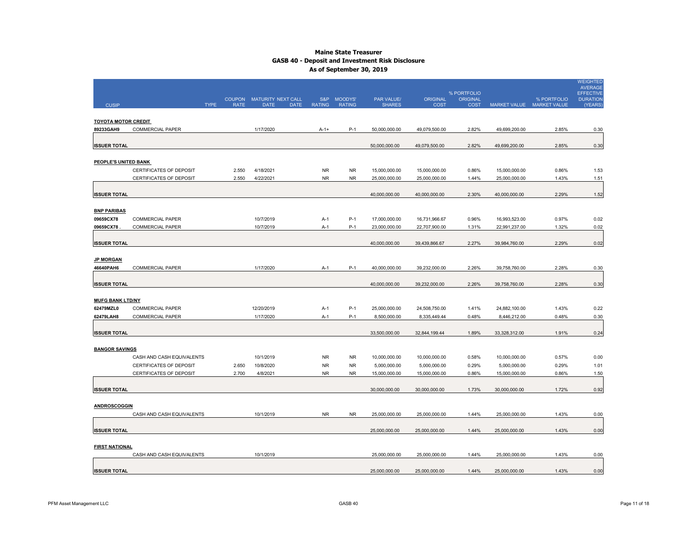| <b>CUSIP</b>                  |                           | <b>TYPE</b><br><b>RATE</b> | COUPON MATURITY NEXT CALL<br><b>DATE</b> | <b>DATE</b> | S&P<br><b>RATING</b> | MOODYS'<br><b>RATING</b> | PAR VALUE/<br><b>SHARES</b> | <b>ORIGINAL</b><br><b>COST</b> | % PORTFOLIO<br><b>ORIGINAL</b><br><b>COST</b> |               | % PORTFOLIO<br>MARKET VALUE MARKET VALUE | <b>WEIGHTED</b><br><b>AVERAGE</b><br><b>EFFECTIVE</b><br><b>DURATION</b><br>(YEARS) |
|-------------------------------|---------------------------|----------------------------|------------------------------------------|-------------|----------------------|--------------------------|-----------------------------|--------------------------------|-----------------------------------------------|---------------|------------------------------------------|-------------------------------------------------------------------------------------|
| <b>TOYOTA MOTOR CREDIT</b>    |                           |                            |                                          |             |                      |                          |                             |                                |                                               |               |                                          |                                                                                     |
| 89233GAH9                     | <b>COMMERCIAL PAPER</b>   |                            | 1/17/2020                                |             | $A - 1 +$            | $P-1$                    | 50,000,000.00               | 49,079,500.00                  | 2.82%                                         | 49,699,200.00 | 2.85%                                    | 0.30                                                                                |
| <b>ISSUER TOTAL</b>           |                           |                            |                                          |             |                      |                          | 50,000,000.00               | 49,079,500.00                  | 2.82%                                         | 49,699,200.00 | 2.85%                                    | 0.30                                                                                |
| PEOPLE'S UNITED BANK          |                           |                            |                                          |             |                      |                          |                             |                                |                                               |               |                                          |                                                                                     |
|                               | CERTIFICATES OF DEPOSIT   | 2.550                      | 4/18/2021                                |             | <b>NR</b>            | <b>NR</b>                | 15,000,000.00               | 15,000,000.00                  | 0.86%                                         | 15,000,000.00 | 0.86%                                    | 1.53                                                                                |
|                               | CERTIFICATES OF DEPOSIT   | 2.550                      | 4/22/2021                                |             | <b>NR</b>            | <b>NR</b>                | 25,000,000.00               | 25,000,000.00                  | 1.44%                                         | 25,000,000.00 | 1.43%                                    | 1.51                                                                                |
| <b>ISSUER TOTAL</b>           |                           |                            |                                          |             |                      |                          | 40,000,000.00               | 40,000,000.00                  | 2.30%                                         | 40,000,000.00 | 2.29%                                    | 1.52                                                                                |
| <b>BNP PARIBAS</b>            |                           |                            |                                          |             |                      |                          |                             |                                |                                               |               |                                          |                                                                                     |
| 09659CX78                     | <b>COMMERCIAL PAPER</b>   |                            | 10/7/2019                                |             | $A-1$                | $P-1$                    | 17,000,000.00               | 16,731,966.67                  | 0.96%                                         | 16,993,523.00 | 0.97%                                    | 0.02                                                                                |
| 09659CX78                     | COMMERCIAL PAPER          |                            | 10/7/2019                                |             | A-1                  | $P-1$                    | 23,000,000.00               | 22,707,900.00                  | 1.31%                                         | 22,991,237.00 | 1.32%                                    | 0.02                                                                                |
| <b>ISSUER TOTAL</b>           |                           |                            |                                          |             |                      |                          | 40,000,000.00               | 39,439,866.67                  | 2.27%                                         | 39,984,760.00 | 2.29%                                    | 0.02                                                                                |
| <b>JP MORGAN</b><br>46640PAH6 | <b>COMMERCIAL PAPER</b>   |                            | 1/17/2020                                |             | A-1                  | $P-1$                    | 40,000,000.00               | 39,232,000.00                  | 2.26%                                         | 39,758,760.00 | 2.28%                                    | 0.30                                                                                |
| <b>ISSUER TOTAL</b>           |                           |                            |                                          |             |                      |                          | 40,000,000.00               | 39,232,000.00                  | 2.26%                                         | 39,758,760.00 | 2.28%                                    | 0.30                                                                                |
| <b>MUFG BANK LTD/NY</b>       |                           |                            |                                          |             |                      |                          |                             |                                |                                               |               |                                          |                                                                                     |
| 62479MZL0                     | COMMERCIAL PAPER          |                            | 12/20/2019                               |             | $A-1$                | $P-1$                    | 25,000,000.00               | 24,508,750.00                  | 1.41%                                         | 24,882,100.00 | 1.43%                                    | 0.22                                                                                |
| 62479LAH8                     | <b>COMMERCIAL PAPER</b>   |                            | 1/17/2020                                |             | A-1                  | $P-1$                    | 8,500,000.00                | 8,335,449.44                   | 0.48%                                         | 8,446,212.00  | 0.48%                                    | 0.30                                                                                |
| <b>ISSUER TOTAL</b>           |                           |                            |                                          |             |                      |                          | 33,500,000.00               | 32,844,199.44                  | 1.89%                                         | 33,328,312.00 | 1.91%                                    | 0.24                                                                                |
| <b>BANGOR SAVINGS</b>         |                           |                            |                                          |             |                      |                          |                             |                                |                                               |               |                                          |                                                                                     |
|                               | CASH AND CASH EQUIVALENTS |                            | 10/1/2019                                |             | <b>NR</b>            | <b>NR</b>                | 10,000,000.00               | 10,000,000.00                  | 0.58%                                         | 10,000,000.00 | 0.57%                                    | 0.00                                                                                |
|                               | CERTIFICATES OF DEPOSIT   | 2.650                      | 10/8/2020                                |             | <b>NR</b>            | <b>NR</b>                | 5,000,000.00                | 5,000,000.00                   | 0.29%                                         | 5,000,000.00  | 0.29%                                    | 1.01                                                                                |
|                               | CERTIFICATES OF DEPOSIT   | 2.700                      | 4/8/2021                                 |             | NR.                  | <b>NR</b>                | 15,000,000.00               | 15,000,000.00                  | 0.86%                                         | 15,000,000.00 | 0.86%                                    | 1.50                                                                                |
| <b>ISSUER TOTAL</b>           |                           |                            |                                          |             |                      |                          | 30,000,000.00               | 30,000,000.00                  | 1.73%                                         | 30,000,000.00 | 1.72%                                    | 0.92                                                                                |
| <b>ANDROSCOGGIN</b>           |                           |                            |                                          |             |                      |                          |                             |                                |                                               |               |                                          |                                                                                     |
|                               | CASH AND CASH EQUIVALENTS |                            | 10/1/2019                                |             | <b>NR</b>            | <b>NR</b>                | 25,000,000.00               | 25,000,000.00                  | 1.44%                                         | 25,000,000.00 | 1.43%                                    | 0.00                                                                                |
| <b>ISSUER TOTAL</b>           |                           |                            |                                          |             |                      |                          | 25,000,000.00               | 25,000,000.00                  | 1.44%                                         | 25,000,000.00 | 1.43%                                    | 0.00                                                                                |
| <b>FIRST NATIONAL</b>         |                           |                            |                                          |             |                      |                          |                             |                                |                                               |               |                                          |                                                                                     |
|                               | CASH AND CASH EQUIVALENTS |                            | 10/1/2019                                |             |                      |                          | 25,000,000.00               | 25,000,000.00                  | 1.44%                                         | 25,000,000.00 | 1.43%                                    | 0.00                                                                                |
| <b>ISSUER TOTAL</b>           |                           |                            |                                          |             |                      |                          | 25,000,000.00               | 25,000,000.00                  | 1.44%                                         | 25,000,000.00 | 1.43%                                    | 0.00                                                                                |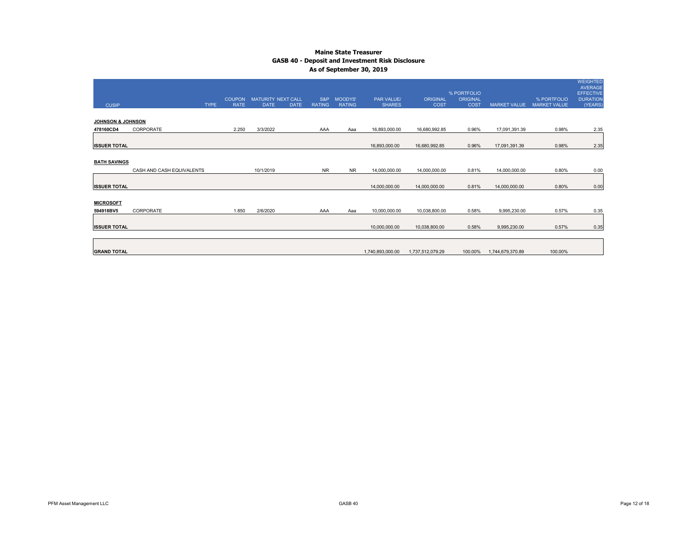|                     |                           |               |                           |             |                |                |                   |                  | % PORTFOLIO     |                     |                     | <b>WEIGHTED</b><br>AVERAGE<br><b>EFFECTIVE</b> |
|---------------------|---------------------------|---------------|---------------------------|-------------|----------------|----------------|-------------------|------------------|-----------------|---------------------|---------------------|------------------------------------------------|
|                     |                           | <b>COUPON</b> | <b>MATURITY NEXT CALL</b> |             | S&P            | <b>MOODYS'</b> | <b>PAR VALUE/</b> | <b>ORIGINAL</b>  | <b>ORIGINAL</b> |                     | % PORTFOLIO         | <b>DURATION</b>                                |
| <b>CUSIP</b>        | <b>TYPE</b>               | <b>RATE</b>   | <b>DATE</b>               | <b>DATE</b> | <b>RATING</b>  | <b>RATING</b>  | <b>SHARES</b>     | COST             | <b>COST</b>     | <b>MARKET VALUE</b> | <b>MARKET VALUE</b> | (YEARS)                                        |
|                     |                           |               |                           |             |                |                |                   |                  |                 |                     |                     |                                                |
| JOHNSON & JOHNSON   |                           |               |                           |             |                |                |                   |                  |                 |                     |                     |                                                |
| 478160CD4           | CORPORATE                 | 2.250         | 3/3/2022                  |             | AAA            | Aaa            | 16,893,000.00     | 16,680,992.85    | 0.96%           | 17,091,391.39       | 0.98%               | 2.35                                           |
|                     |                           |               |                           |             |                |                |                   |                  |                 |                     |                     |                                                |
| <b>ISSUER TOTAL</b> |                           |               |                           |             |                |                | 16,893,000.00     | 16,680,992.85    | 0.96%           | 17,091,391.39       | 0.98%               | 2.35                                           |
|                     |                           |               |                           |             |                |                |                   |                  |                 |                     |                     |                                                |
| <b>BATH SAVINGS</b> |                           |               |                           |             |                |                |                   |                  |                 |                     |                     |                                                |
|                     | CASH AND CASH EQUIVALENTS |               | 10/1/2019                 |             | N <sub>R</sub> | <b>NR</b>      | 14,000,000.00     | 14,000,000.00    | 0.81%           | 14,000,000.00       | 0.80%               | 0.00                                           |
|                     |                           |               |                           |             |                |                |                   |                  |                 |                     |                     |                                                |
| <b>ISSUER TOTAL</b> |                           |               |                           |             |                |                | 14,000,000.00     | 14,000,000.00    | 0.81%           | 14,000,000.00       | 0.80%               | 0.00                                           |
|                     |                           |               |                           |             |                |                |                   |                  |                 |                     |                     |                                                |
| <b>MICROSOFT</b>    |                           |               |                           |             |                |                |                   |                  |                 |                     |                     |                                                |
| 594918BV5           | CORPORATE                 | 1.850         | 2/6/2020                  |             | AAA            | Aaa            | 10,000,000.00     | 10,038,800.00    | 0.58%           | 9,995,230.00        | 0.57%               | 0.35                                           |
|                     |                           |               |                           |             |                |                |                   |                  |                 |                     |                     |                                                |
| <b>ISSUER TOTAL</b> |                           |               |                           |             |                |                | 10,000,000.00     | 10,038,800.00    | 0.58%           | 9,995,230.00        | 0.57%               | 0.35                                           |
|                     |                           |               |                           |             |                |                |                   |                  |                 |                     |                     |                                                |
|                     |                           |               |                           |             |                |                |                   |                  |                 |                     |                     |                                                |
| <b>GRAND TOTAL</b>  |                           |               |                           |             |                |                | 1,740,893,000.00  | 1,737,512,079.29 | 100.00%         | 1,744,679,370.89    | 100.00%             |                                                |
|                     |                           |               |                           |             |                |                |                   |                  |                 |                     |                     |                                                |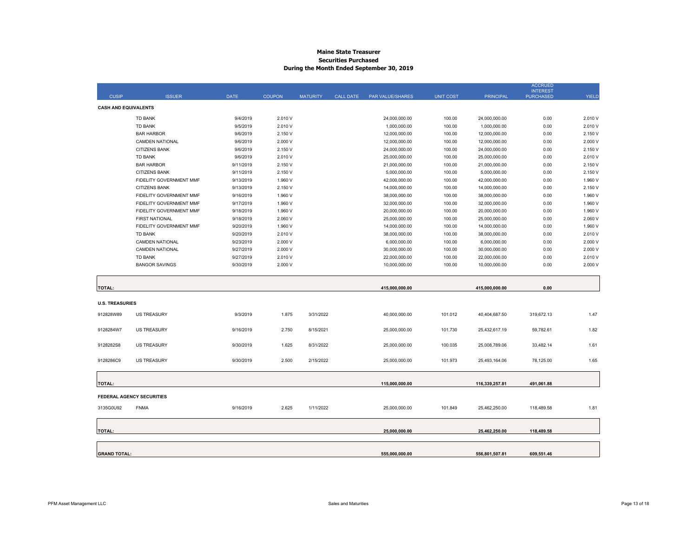#### **Maine State Treasurer Securities Purchased During the Month Ended September 30, 2019**

|                             |                                  |             |               |                 |                  |                  |                  |                  | <b>ACCRUED</b>                      |              |
|-----------------------------|----------------------------------|-------------|---------------|-----------------|------------------|------------------|------------------|------------------|-------------------------------------|--------------|
| <b>CUSIP</b>                | <b>ISSUER</b>                    | <b>DATE</b> | <b>COUPON</b> | <b>MATURITY</b> | <b>CALL DATE</b> | PAR VALUE/SHARES | <b>UNIT COST</b> | <b>PRINCIPAL</b> | <b>INTEREST</b><br><b>PURCHASED</b> | <b>YIELD</b> |
| <b>CASH AND EQUIVALENTS</b> |                                  |             |               |                 |                  |                  |                  |                  |                                     |              |
|                             | <b>TD BANK</b>                   | 9/4/2019    | 2.010 V       |                 |                  | 24,000,000.00    | 100.00           | 24,000,000.00    | 0.00                                | 2.010 V      |
|                             | <b>TD BANK</b>                   | 9/5/2019    | 2.010 V       |                 |                  | 1,000,000.00     | 100.00           | 1,000,000.00     | 0.00                                | 2.010V       |
|                             | <b>BAR HARBOR</b>                | 9/6/2019    | 2.150 V       |                 |                  | 12,000,000.00    | 100.00           | 12,000,000.00    | 0.00                                | 2.150 V      |
|                             | <b>CAMDEN NATIONAL</b>           | 9/6/2019    | 2.000 V       |                 |                  | 12,000,000.00    | 100.00           | 12,000,000.00    | 0.00                                | 2.000 V      |
|                             | <b>CITIZENS BANK</b>             | 9/6/2019    | 2.150 V       |                 |                  | 24,000,000.00    | 100.00           | 24,000,000.00    | 0.00                                | 2.150 V      |
|                             | <b>TD BANK</b>                   | 9/6/2019    | 2.010 V       |                 |                  | 25,000,000.00    | 100.00           | 25,000,000.00    | 0.00                                | 2.010 V      |
|                             | <b>BAR HARBOR</b>                | 9/11/2019   | 2.150 V       |                 |                  | 21,000,000.00    | 100.00           | 21,000,000.00    | 0.00                                | 2.150 V      |
|                             | <b>CITIZENS BANK</b>             | 9/11/2019   | 2.150 V       |                 |                  | 5,000,000.00     | 100.00           | 5,000,000.00     | 0.00                                | 2.150 V      |
|                             | FIDELITY GOVERNMENT MMF          | 9/13/2019   | 1.960 V       |                 |                  | 42,000,000.00    | 100.00           | 42,000,000.00    | 0.00                                | 1.960 V      |
|                             | <b>CITIZENS BANK</b>             | 9/13/2019   | 2.150 V       |                 |                  | 14,000,000.00    | 100.00           | 14,000,000.00    | 0.00                                | 2.150 V      |
|                             | FIDELITY GOVERNMENT MMF          | 9/16/2019   | 1.960 V       |                 |                  | 38,000,000.00    | 100.00           | 38,000,000.00    | 0.00                                | 1.960 V      |
|                             | FIDELITY GOVERNMENT MMF          | 9/17/2019   | 1.960 V       |                 |                  | 32,000,000.00    | 100.00           | 32,000,000.00    | 0.00                                | 1.960 V      |
|                             | FIDELITY GOVERNMENT MMF          | 9/18/2019   | 1.960 V       |                 |                  | 20,000,000.00    | 100.00           | 20,000,000.00    | 0.00                                | 1.960 V      |
|                             | <b>FIRST NATIONAL</b>            | 9/18/2019   | 2.060 V       |                 |                  | 25,000,000.00    | 100.00           | 25,000,000.00    | 0.00                                | 2.060 V      |
|                             | FIDELITY GOVERNMENT MMF          | 9/20/2019   | 1.960 V       |                 |                  | 14,000,000.00    | 100.00           | 14,000,000.00    | 0.00                                | 1.960 V      |
|                             | <b>TD BANK</b>                   | 9/20/2019   | 2.010 V       |                 |                  | 38,000,000.00    | 100.00           | 38,000,000.00    | 0.00                                | 2.010 V      |
|                             | <b>CAMDEN NATIONAL</b>           | 9/23/2019   | 2.000 V       |                 |                  | 6,000,000.00     | 100.00           | 6,000,000.00     | 0.00                                | 2.000 V      |
|                             | <b>CAMDEN NATIONAL</b>           | 9/27/2019   | 2.000 V       |                 |                  | 30,000,000.00    | 100.00           | 30,000,000.00    | 0.00                                | 2.000 V      |
|                             | <b>TD BANK</b>                   | 9/27/2019   | 2.010 V       |                 |                  | 22,000,000.00    | 100.00           | 22,000,000.00    | 0.00                                | 2.010 V      |
|                             | <b>BANGOR SAVINGS</b>            | 9/30/2019   | 2.000 V       |                 |                  | 10,000,000.00    | 100.00           | 10,000,000.00    | 0.00                                | 2.000 V      |
|                             |                                  |             |               |                 |                  |                  |                  |                  |                                     |              |
| <b>TOTAL:</b>               |                                  |             |               |                 |                  | 415,000,000.00   |                  | 415,000,000.00   | 0.00                                |              |
| <b>U.S. TREASURIES</b>      |                                  |             |               |                 |                  |                  |                  |                  |                                     |              |
|                             |                                  |             |               |                 |                  |                  |                  |                  |                                     |              |
| 912828W89                   | <b>US TREASURY</b>               | 9/3/2019    | 1.875         | 3/31/2022       |                  | 40,000,000.00    | 101.012          | 40,404,687.50    | 319,672.13                          | 1.47         |
| 9128284W7                   | <b>US TREASURY</b>               | 9/16/2019   | 2.750         | 8/15/2021       |                  | 25,000,000.00    | 101.730          | 25,432,617.19    | 59,782.61                           | 1.82         |
|                             |                                  |             |               |                 |                  |                  |                  |                  |                                     |              |
| 9128282S8                   | <b>US TREASURY</b>               | 9/30/2019   | 1.625         | 8/31/2022       |                  | 25,000,000.00    | 100.035          | 25,008,789.06    | 33,482.14                           | 1.61         |
| 9128286C9                   | <b>US TREASURY</b>               | 9/30/2019   | 2.500         | 2/15/2022       |                  | 25,000,000.00    | 101.973          | 25,493,164.06    | 78,125.00                           | 1.65         |
|                             |                                  |             |               |                 |                  |                  |                  |                  |                                     |              |
|                             |                                  |             |               |                 |                  |                  |                  |                  |                                     |              |
| <b>TOTAL:</b>               |                                  |             |               |                 |                  | 115,000,000.00   |                  | 116,339,257.81   | 491,061.88                          |              |
|                             | <b>FEDERAL AGENCY SECURITIES</b> |             |               |                 |                  |                  |                  |                  |                                     |              |
| 3135G0U92                   | <b>FNMA</b>                      | 9/16/2019   | 2.625         | 1/11/2022       |                  | 25,000,000.00    | 101.849          | 25,462,250.00    | 118,489.58                          | 1.81         |
|                             |                                  |             |               |                 |                  |                  |                  |                  |                                     |              |
| <b>TOTAL:</b>               |                                  |             |               |                 |                  | 25,000,000.00    |                  | 25,462,250.00    | 118,489.58                          |              |
|                             |                                  |             |               |                 |                  |                  |                  |                  |                                     |              |
|                             |                                  |             |               |                 |                  |                  |                  |                  |                                     |              |
| <b>GRAND TOTAL:</b>         |                                  |             |               |                 |                  | 555,000,000.00   |                  | 556,801,507.81   | 609,551.46                          |              |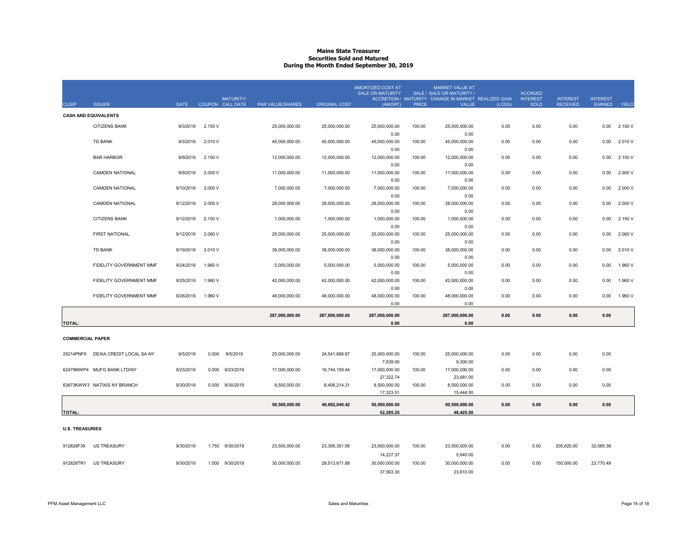#### **Maine State TreasurerSecurities Sold and Matured During the Month Ended September 30, 2019**

| <b>CUSIP</b>            | <b>ISSUER</b>               | <b>DATE</b> | <b>MATURITY/</b><br>COUPON CALL DATE | <b>PAR VALUE/SHARES</b> | <b>ORIGINAL COST</b> | <b>AMORTIZED COST AT</b><br><b>SALE OR MATURITY</b><br>(AMORT) | <b>PRICE</b> | <b>MARKET VALUE AT</b><br>SALE / SALE OR MATURITY /<br>ACCRETION / MATURITY CHANGE IN MARKET REALIZED GAIN<br>VALUE | (LOSS) | <b>ACCRUED</b><br><b>INTEREST</b><br><b>SOLD</b> | <b>INTEREST</b><br><b>RECEIVED</b> | <b>INTEREST</b><br>EARNED | YIELD   |
|-------------------------|-----------------------------|-------------|--------------------------------------|-------------------------|----------------------|----------------------------------------------------------------|--------------|---------------------------------------------------------------------------------------------------------------------|--------|--------------------------------------------------|------------------------------------|---------------------------|---------|
|                         | <b>CASH AND EQUIVALENTS</b> |             |                                      |                         |                      |                                                                |              |                                                                                                                     |        |                                                  |                                    |                           |         |
|                         | <b>CITIZENS BANK</b>        | 9/3/2019    | 2.150 V                              | 25.000.000.00           | 25,000,000.00        | 25.000.000.00                                                  | 100.00       | 25.000.000.00                                                                                                       | 0.00   | 0.00                                             | 0.00                               | 0.00                      | 2.150 V |
|                         |                             |             |                                      |                         |                      | 0.00                                                           |              | 0.00                                                                                                                |        |                                                  |                                    |                           |         |
|                         | <b>TD BANK</b>              | 9/3/2019    | 2.010 V                              | 45,000,000.00           | 45,000,000.00        | 45,000,000.00                                                  | 100.00       | 45,000,000.00                                                                                                       | 0.00   | 0.00                                             | 0.00                               | 0.00                      | 2.010 V |
|                         |                             |             |                                      |                         |                      | 0.00                                                           |              | 0.00                                                                                                                |        |                                                  |                                    |                           |         |
|                         | <b>BAR HARBOR</b>           | 9/9/2019    | 2.150 V                              | 12,000,000.00           | 12,000,000.00        | 12,000,000.00                                                  | 100.00       | 12,000,000.00                                                                                                       | 0.00   | 0.00                                             | 0.00                               | 0.00                      | 2.150 V |
|                         | <b>CAMDEN NATIONAL</b>      | 9/9/2019    | 2,000 V                              | 11,000,000.00           |                      | 0.00<br>11,000,000.00                                          | 100.00       | 0.00<br>11,000,000.00                                                                                               | 0.00   | 0.00                                             | 0.00                               | 0.00                      | 2.000 V |
|                         |                             |             |                                      |                         | 11,000,000.00        | 0.00                                                           |              | 0.00                                                                                                                |        |                                                  |                                    |                           |         |
|                         | <b>CAMDEN NATIONAL</b>      | 9/10/2019   | 2.000 V                              | 7,000,000.00            | 7,000,000.00         | 7,000,000.00                                                   | 100.00       | 7,000,000.00                                                                                                        | 0.00   | 0.00                                             | 0.00                               | 0.00                      | 2.000 V |
|                         |                             |             |                                      |                         |                      | 0.00                                                           |              | 0.00                                                                                                                |        |                                                  |                                    |                           |         |
|                         | <b>CAMDEN NATIONAL</b>      | 9/12/2019   | 2.000 V                              | 28,000,000.00           | 28,000,000.00        | 28,000,000.00                                                  | 100.00       | 28,000,000.00                                                                                                       | 0.00   | 0.00                                             | 0.00                               | 0.00                      | 2.000 V |
|                         |                             |             |                                      |                         |                      | 0.00                                                           |              | 0.00                                                                                                                |        |                                                  |                                    |                           |         |
|                         | CITIZENS BANK               | 9/12/2019   | 2.150 V                              | 1,000,000.00            | 1,000,000.00         | 1,000,000.00                                                   | 100.00       | 1,000,000.00                                                                                                        | 0.00   | 0.00                                             | 0.00                               | 0.00                      | 2.150 V |
|                         | <b>FIRST NATIONAL</b>       | 9/12/2019   | 2.060 V                              | 25,000,000.00           | 25,000,000.00        | 0.00<br>25,000,000.00                                          | 100.00       | 0.00<br>25,000,000.00                                                                                               | 0.00   | 0.00                                             | 0.00                               | 0.00                      | 2.060 V |
|                         |                             |             |                                      |                         |                      | 0.00                                                           |              | 0.00                                                                                                                |        |                                                  |                                    |                           |         |
|                         | <b>TD BANK</b>              | 9/19/2019   | 2.010 V                              | 38,000,000.00           | 38,000,000.00        | 38,000,000.00                                                  | 100.00       | 38,000,000.00                                                                                                       | 0.00   | 0.00                                             | 0.00                               | 0.00                      | 2.010 V |
|                         |                             |             |                                      |                         |                      | 0.00                                                           |              | 0.00                                                                                                                |        |                                                  |                                    |                           |         |
|                         | FIDELITY GOVERNMENT MMF     | 9/24/2019   | 1.960 V                              | 5,000,000.00            | 5,000,000.00         | 5,000,000.00                                                   | 100.00       | 5,000,000.00                                                                                                        | 0.00   | 0.00                                             | 0.00                               | 0.00                      | 1.960 V |
|                         |                             |             |                                      |                         |                      | 0.00                                                           |              | 0.00                                                                                                                |        |                                                  |                                    |                           |         |
|                         | FIDELITY GOVERNMENT MMF     | 9/25/2019   | 1.960 V                              | 42,000,000.00           | 42,000,000.00        | 42,000,000.00                                                  | 100.00       | 42,000,000.00                                                                                                       | 0.00   | 0.00                                             | 0.00                               | 0.00                      | 1.960 V |
|                         |                             |             |                                      |                         |                      | 0.00                                                           |              | 0.00                                                                                                                |        |                                                  |                                    |                           |         |
|                         | FIDELITY GOVERNMENT MMF     | 9/26/2019   | 1.960 V                              | 48,000,000.00           | 48,000,000.00        | 48,000,000.00<br>0.00                                          | 100.00       | 48,000,000.00<br>0.00                                                                                               | 0.00   | 0.00                                             | 0.00                               | 0.00                      | 1.960 V |
|                         |                             |             |                                      |                         |                      |                                                                |              |                                                                                                                     |        |                                                  |                                    |                           |         |
| <b>TOTAL:</b>           |                             |             |                                      | 287,000,000.00          | 287,000,000.00       | 287,000,000.00<br>0.00                                         |              | 287,000,000.00<br>0.00                                                                                              | 0.00   | 0.00                                             | 0.00                               | 0.00                      |         |
|                         |                             |             |                                      |                         |                      |                                                                |              |                                                                                                                     |        |                                                  |                                    |                           |         |
| <b>COMMERCIAL PAPER</b> |                             |             |                                      |                         |                      |                                                                |              |                                                                                                                     |        |                                                  |                                    |                           |         |
| 25214PNF6               | DEXIA CREDIT LOCAL SA NY    | 9/5/2019    | 0.000<br>9/5/2019                    | 25,000,000.00           | 24,541,666.67        | 25,000,000.00                                                  | 100.00       | 25,000,000.00                                                                                                       | 0.00   | 0.00                                             | 0.00                               | 0.00                      |         |
|                         |                             |             |                                      |                         |                      | 7,639.00                                                       |              | 9,300.00                                                                                                            |        |                                                  |                                    |                           |         |
|                         | 62479MWP4 MUFG BANK LTD/NY  | 9/23/2019   | 0.000<br>9/23/2019                   | 17,000,000.00           | 16,744,159.44        | 17,000,000.00                                                  | 100.00       | 17,000,000.00                                                                                                       | 0.00   | 0.00                                             | 0.00                               | 0.00                      |         |
|                         |                             |             |                                      |                         |                      | 27,322.74                                                      |              | 23,681.00                                                                                                           |        |                                                  |                                    |                           |         |
|                         | 63873KWW3 NATIXIS NY BRANCH | 9/30/2019   | 0.000<br>9/30/2019                   | 8,500,000.00            | 8,406,214.31         | 8,500,000.00                                                   | 100.00       | 8,500,000.00                                                                                                        | 0.00   | 0.00                                             | 0.00                               | 0.00                      |         |
|                         |                             |             |                                      |                         |                      | 17,323.51                                                      |              | 15,444.50                                                                                                           |        |                                                  |                                    |                           |         |
|                         |                             |             |                                      | 50,500,000.00           | 49,692,040.42        | 50,500,000.00                                                  |              | 50,500,000.00                                                                                                       | 0.00   | 0.00                                             | 0.00                               | 0.00                      |         |
| <b>TOTAL:</b>           |                             |             |                                      |                         |                      | 52,285.25                                                      |              | 48,425.50                                                                                                           |        |                                                  |                                    |                           |         |
|                         |                             |             |                                      |                         |                      |                                                                |              |                                                                                                                     |        |                                                  |                                    |                           |         |
| <b>U.S. TREASURIES</b>  |                             |             |                                      |                         |                      |                                                                |              |                                                                                                                     |        |                                                  |                                    |                           |         |
|                         |                             |             |                                      |                         |                      |                                                                |              |                                                                                                                     |        |                                                  |                                    |                           |         |
| 912828F39               | <b>US TREASURY</b>          | 9/30/2019   | 1.750 9/30/2019                      | 23,500,000.00           | 23,395,351.56        | 23,500,000.00<br>14,227.37                                     | 100.00       | 23,500,000.00<br>5,640.00                                                                                           | 0.00   | 0.00                                             | 205,625.00                         | 32,585.38                 |         |
| 912828TR1               | <b>US TREASURY</b>          | 9/30/2019   | 1.000<br>9/30/2019                   | 30,000,000.00           | 29,513,671.88        | 30,000,000.00                                                  | 100.00       | 30,000,000.00                                                                                                       | 0.00   | 0.00                                             | 150,000.00                         | 23,770.49                 |         |
|                         |                             |             |                                      |                         |                      | 37,563.30                                                      |              | 23,610.00                                                                                                           |        |                                                  |                                    |                           |         |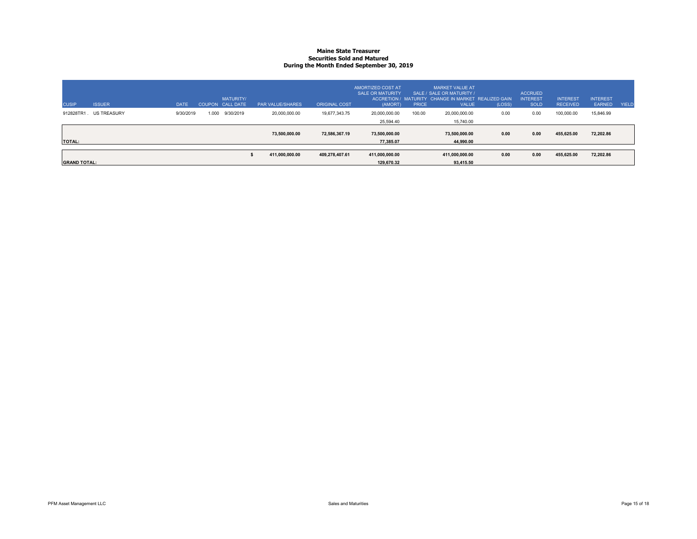#### **Maine State TreasurerSecurities Sold and Matured During the Month Ended September 30, 2019**

| <b>CUSIP</b>        | <b>ISSUER</b>      | DATE      |       | <b>MATURITY/</b><br>COUPON CALL DATE | <b>PAR VALUE/SHARES</b> | <b>ORIGINAL COST</b> | AMORTIZED COST AT<br><b>SALE OR MATURITY</b><br>(AMORT) | <b>PRICE</b> | <b>MARKET VALUE AT</b><br>SALE / SALE OR MATURITY /<br>ACCRETION / MATURITY CHANGE IN MARKET REALIZED GAIN<br><b>VALUE</b> | (LOSS) | <b>ACCRUED</b><br><b>INTEREST</b><br><b>SOLD</b> | <b>INTEREST</b><br><b>RECEIVED</b> | <b>INTEREST</b><br><b>EARNED</b> | YIELD |
|---------------------|--------------------|-----------|-------|--------------------------------------|-------------------------|----------------------|---------------------------------------------------------|--------------|----------------------------------------------------------------------------------------------------------------------------|--------|--------------------------------------------------|------------------------------------|----------------------------------|-------|
| 912828TR1           | <b>US TREASURY</b> | 9/30/2019 | 1.000 | 9/30/2019                            | 20,000,000.00           | 19.677.343.75        | 20,000,000.00                                           | 100.00       | 20,000,000.00                                                                                                              | 0.00   | 0.00                                             | 100,000.00                         | 15,846.99                        |       |
|                     |                    |           |       |                                      |                         |                      | 25.594.40                                               |              | 15,740.00                                                                                                                  |        |                                                  |                                    |                                  |       |
| <b>TOTAL:</b>       |                    |           |       |                                      | 73,500,000.00           | 72,586,367.19        | 73,500,000.00<br>77.385.07                              |              | 73.500.000.00<br>44.990.00                                                                                                 | 0.00   | 0.00                                             | 455,625.00                         | 72,202.86                        |       |
|                     |                    |           |       |                                      |                         |                      |                                                         |              |                                                                                                                            |        |                                                  |                                    |                                  |       |
|                     |                    |           |       |                                      | 411,000,000.00          | 409,278,407.61       | 411.000.000.00                                          |              | 411.000.000.00                                                                                                             | 0.00   | 0.00                                             | 455,625.00                         | 72,202.86                        |       |
| <b>GRAND TOTAL:</b> |                    |           |       |                                      |                         |                      | 129.670.32                                              |              | 93.415.50                                                                                                                  |        |                                                  |                                    |                                  |       |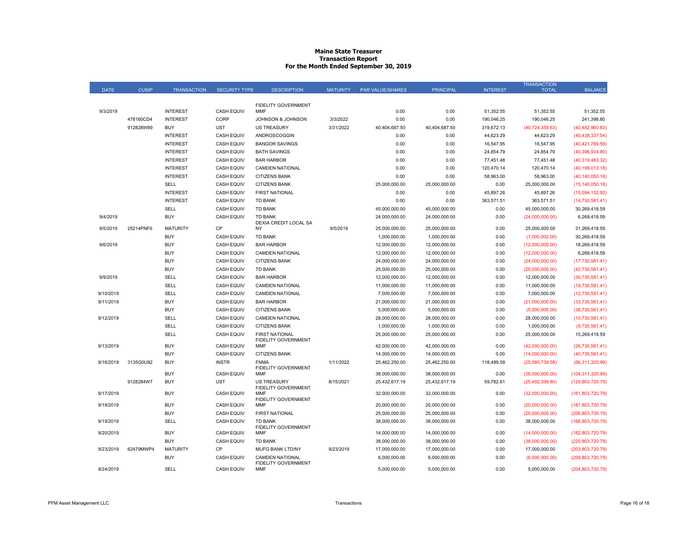#### **Maine State Treasurer Transaction Report For the Month Ended September 30, 2019**

|             |              |                    |                      |                                              |                 |                  |                  |                 | <b>TRANSACTION</b> |                    |
|-------------|--------------|--------------------|----------------------|----------------------------------------------|-----------------|------------------|------------------|-----------------|--------------------|--------------------|
| <b>DATE</b> | <b>CUSIP</b> | <b>TRANSACTION</b> | <b>SECURITY TYPE</b> | <b>DESCRIPTION</b>                           | <b>MATURITY</b> | PAR VALUE/SHARES | <b>PRINCIPAL</b> | <b>INTEREST</b> | <b>TOTAL</b>       | <b>BALANCE</b>     |
|             |              |                    |                      |                                              |                 |                  |                  |                 |                    |                    |
| 9/3/2019    |              | <b>INTEREST</b>    | <b>CASH EQUIV</b>    | <b>FIDELITY GOVERNMENT</b><br><b>MMF</b>     |                 | 0.00             | 0.00             | 51,352.55       | 51,352.55          | 51,352.55          |
|             | 478160CD4    | <b>INTEREST</b>    | CORP                 | JOHNSON & JOHNSON                            | 3/3/2022        | 0.00             | 0.00             | 190,046.25      | 190,046.25         | 241,398.80         |
|             | 912828W89    | <b>BUY</b>         | <b>UST</b>           | <b>US TREASURY</b>                           |                 | 40,404,687.50    | 40,404,687.50    | 319,672.13      |                    |                    |
|             |              |                    |                      |                                              | 3/31/2022       |                  |                  |                 | (40, 724, 359.63)  | (40, 482, 960.83)  |
|             |              | <b>INTEREST</b>    | <b>CASH EQUIV</b>    | ANDROSCOGGIN                                 |                 | 0.00             | 0.00             | 44,623.29       | 44,623.29          | (40, 438, 337.54)  |
|             |              | <b>INTEREST</b>    | <b>CASH EQUIV</b>    | <b>BANGOR SAVINGS</b>                        |                 | 0.00             | 0.00             | 16,547.95       | 16,547.95          | (40, 421, 789.59)  |
|             |              | <b>INTEREST</b>    | <b>CASH EQUIV</b>    | <b>BATH SAVINGS</b>                          |                 | 0.00             | 0.00             | 24,854.79       | 24,854.79          | (40, 396, 934.80)  |
|             |              | <b>INTEREST</b>    | <b>CASH EQUIV</b>    | <b>BAR HARBOR</b>                            |                 | 0.00             | 0.00             | 77,451.48       | 77,451.48          | (40,319,483.32)    |
|             |              | <b>INTEREST</b>    | <b>CASH EQUIV</b>    | <b>CAMDEN NATIONAL</b>                       |                 | 0.00             | 0.00             | 120,470.14      | 120,470.14         | (40, 199, 013.18)  |
|             |              | <b>INTEREST</b>    | <b>CASH EQUIV</b>    | <b>CITIZENS BANK</b>                         |                 | 0.00             | 0.00             | 58,963.00       | 58,963.00          | (40, 140, 050.18)  |
|             |              | <b>SELL</b>        | <b>CASH EQUIV</b>    | <b>CITIZENS BANK</b>                         |                 | 25,000,000.00    | 25,000,000.00    | 0.00            | 25,000,000.00      | (15, 140, 050.18)  |
|             |              | <b>INTEREST</b>    | <b>CASH EQUIV</b>    | <b>FIRST NATIONAL</b>                        |                 | 0.00             | 0.00             | 45,897.26       | 45,897.26          | (15,094,152.92)    |
|             |              | <b>INTEREST</b>    | <b>CASH EQUIV</b>    | <b>TD BANK</b>                               |                 | 0.00             | 0.00             | 363,571.51      | 363,571.51         | (14, 730, 581.41)  |
|             |              | SELL               | <b>CASH EQUIV</b>    | <b>TD BANK</b>                               |                 | 45,000,000.00    | 45,000,000.00    | 0.00            | 45,000,000.00      | 30,269,418.59      |
| 9/4/2019    |              | <b>BUY</b>         | <b>CASH EQUIV</b>    | <b>TD BANK</b><br>DEXIA CREDIT LOCAL SA      |                 | 24,000,000.00    | 24,000,000.00    | 0.00            | (24,000,000.00)    | 6,269,418.59       |
| 9/5/2019    | 25214PNF6    | <b>MATURITY</b>    | CP                   | <b>NY</b>                                    | 9/5/2019        | 25,000,000.00    | 25,000,000.00    | 0.00            | 25,000,000.00      | 31,269,418.59      |
|             |              | <b>BUY</b>         | <b>CASH EQUIV</b>    | <b>TD BANK</b>                               |                 | 1,000,000.00     | 1,000,000.00     | 0.00            | (1,000,000.00)     | 30.269.418.59      |
| 9/6/2019    |              | <b>BUY</b>         | <b>CASH EQUIV</b>    | <b>BAR HARBOR</b>                            |                 | 12,000,000.00    | 12,000,000.00    | 0.00            | (12,000,000.00)    | 18,269,418.59      |
|             |              | <b>BUY</b>         | <b>CASH EQUIV</b>    | <b>CAMDEN NATIONAL</b>                       |                 | 12,000,000.00    | 12,000,000.00    | 0.00            | (12,000,000.00)    | 6,269,418.59       |
|             |              | <b>BUY</b>         | <b>CASH EQUIV</b>    | <b>CITIZENS BANK</b>                         |                 | 24,000,000.00    | 24,000,000.00    | 0.00            | (24,000,000.00)    | (17,730,581.41)    |
|             |              | <b>BUY</b>         | <b>CASH EQUIV</b>    | <b>TD BANK</b>                               |                 | 25,000,000.00    | 25,000,000.00    | 0.00            | (25,000,000.00)    | (42,730,581.41)    |
| 9/9/2019    |              | SELL               | <b>CASH EQUIV</b>    | <b>BAR HARBOR</b>                            |                 | 12,000,000.00    | 12,000,000.00    | 0.00            | 12,000,000.00      | (30,730,581.41)    |
|             |              | <b>SELL</b>        | <b>CASH EQUIV</b>    | <b>CAMDEN NATIONAL</b>                       |                 | 11,000,000.00    | 11,000,000.00    | 0.00            | 11,000,000.00      | (19,730,581.41)    |
| 9/10/2019   |              | SELL               | <b>CASH EQUIV</b>    | <b>CAMDEN NATIONAL</b>                       |                 | 7,000,000.00     | 7,000,000.00     | 0.00            | 7,000,000.00       | (12,730,581.41)    |
| 9/11/2019   |              | <b>BUY</b>         | <b>CASH EQUIV</b>    | <b>BAR HARBOR</b>                            |                 | 21,000,000.00    | 21,000,000.00    | 0.00            | (21,000,000.00)    | (33,730,581.41)    |
|             |              | <b>BUY</b>         | <b>CASH EQUIV</b>    | <b>CITIZENS BANK</b>                         |                 | 5,000,000.00     | 5,000,000.00     | 0.00            | (5,000,000.00)     | (38,730,581.41)    |
| 9/12/2019   |              | SELL               | <b>CASH EQUIV</b>    | <b>CAMDEN NATIONAL</b>                       |                 | 28,000,000.00    | 28,000,000.00    | 0.00            | 28,000,000.00      | (10,730,581.41)    |
|             |              | <b>SELL</b>        | <b>CASH EQUIV</b>    | <b>CITIZENS BANK</b>                         |                 | 1,000,000.00     | 1,000,000.00     | 0.00            | 1,000,000.00       | (9,730,581.41)     |
|             |              | SELL               | <b>CASH EQUIV</b>    | <b>FIRST NATIONAL</b><br>FIDELITY GOVERNMENT |                 | 25,000,000.00    | 25,000,000.00    | 0.00            | 25,000,000.00      | 15,269,418.59      |
| 9/13/2019   |              | <b>BUY</b>         | <b>CASH EQUIV</b>    | MMF                                          |                 | 42,000,000.00    | 42,000,000.00    | 0.00            | (42,000,000.00)    | (26,730,581.41)    |
|             |              | <b>BUY</b>         | <b>CASH EQUIV</b>    | <b>CITIZENS BANK</b>                         |                 | 14,000,000.00    | 14,000,000.00    | 0.00            | (14,000,000.00)    | (40,730,581.41)    |
| 9/16/2019   | 3135G0U92    | <b>BUY</b>         | <b>INSTR</b>         | <b>FNMA</b>                                  | 1/11/2022       | 25,462,250.00    | 25,462,250.00    | 118,489.58      | (25,580,739.58)    | (66, 311, 320.99)  |
|             |              | <b>BUY</b>         | <b>CASH EQUIV</b>    | FIDELITY GOVERNMENT<br><b>MMF</b>            |                 | 38,000,000.00    | 38,000,000.00    | 0.00            | (38,000,000.00)    | (104, 311, 320.99) |
|             | 9128284W7    | <b>BUY</b>         | <b>UST</b>           | <b>US TREASURY</b>                           | 8/15/2021       | 25,432,617.19    | 25,432,617.19    | 59,782.61       | (25, 492, 399.80)  | (129,803,720.79)   |
| 9/17/2019   |              | <b>BUY</b>         | <b>CASH EQUIV</b>    | FIDELITY GOVERNMENT<br><b>MMF</b>            |                 | 32,000,000.00    | 32,000,000.00    | 0.00            | (32,000,000.00)    | (161,803,720.79)   |
| 9/18/2019   |              | <b>BUY</b>         | <b>CASH EQUIV</b>    | <b>FIDELITY GOVERNMENT</b><br>MMF            |                 | 20,000,000.00    | 20,000,000.00    | 0.00            | (20,000,000.00)    | (181, 803, 720.79) |
|             |              | <b>BUY</b>         | <b>CASH EQUIV</b>    | <b>FIRST NATIONAL</b>                        |                 | 25,000,000.00    | 25,000,000.00    | 0.00            | (25,000,000.00)    | (206, 803, 720.79) |
| 9/19/2019   |              | SELL               | <b>CASH EQUIV</b>    | <b>TD BANK</b>                               |                 | 38,000,000.00    | 38,000,000.00    | 0.00            | 38,000,000.00      | (168, 803, 720.79) |
| 9/20/2019   |              | <b>BUY</b>         | <b>CASH EQUIV</b>    | FIDELITY GOVERNMENT<br><b>MMF</b>            |                 | 14,000,000.00    | 14,000,000.00    | 0.00            | (14,000,000.00)    | (182, 803, 720.79) |
|             |              | <b>BUY</b>         | <b>CASH EQUIV</b>    | <b>TD BANK</b>                               |                 | 38,000,000.00    | 38,000,000.00    | 0.00            | (38,000,000.00)    | (220, 803, 720.79) |
| 9/23/2019   | 62479MWP4    | <b>MATURITY</b>    | CP                   | MUFG BANK LTD/NY                             | 9/23/2019       | 17,000,000.00    | 17,000,000.00    | 0.00            | 17,000,000.00      | (203,803,720.79)   |
|             |              | <b>BUY</b>         | <b>CASH EQUIV</b>    | <b>CAMDEN NATIONAL</b>                       |                 | 6,000,000.00     | 6,000,000.00     | 0.00            | (6,000,000.00)     | (209, 803, 720.79) |
| 9/24/2019   |              | SELL               | <b>CASH EQUIV</b>    | FIDELITY GOVERNMENT<br>MMF                   |                 | 5,000,000.00     | 5,000,000.00     | 0.00            | 5,000,000.00       | (204, 803, 720.79) |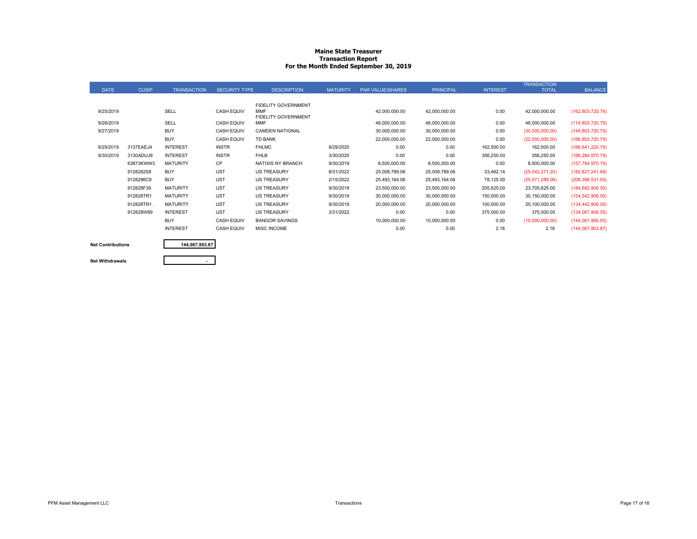#### **Maine State Treasurer Transaction Report For the Month Ended September 30, 2019**

| <b>DATE</b> | <b>CUSIP</b> | <b>TRANSACTION</b> | <b>SECURITY TYPE</b> | <b>DESCRIPTION</b>         | <b>MATURITY</b> | <b>PAR VALUE/SHARES</b> | <b>PRINCIPAL</b> | <b>INTEREST</b> | <b>TRANSACTION</b><br><b>TOTAL</b> | <b>BALANCE</b>     |
|-------------|--------------|--------------------|----------------------|----------------------------|-----------------|-------------------------|------------------|-----------------|------------------------------------|--------------------|
|             |              |                    |                      |                            |                 |                         |                  |                 |                                    |                    |
|             |              |                    |                      | FIDELITY GOVERNMENT        |                 |                         |                  |                 |                                    |                    |
| 9/25/2019   |              | SELL               | <b>CASH EQUIV</b>    | <b>MMF</b>                 |                 | 42,000,000.00           | 42,000,000.00    | 0.00            | 42,000,000.00                      | (162,803,720.79)   |
|             |              |                    |                      | <b>FIDELITY GOVERNMENT</b> |                 |                         |                  |                 |                                    |                    |
| 9/26/2019   |              | SELL               | <b>CASH EQUIV</b>    | <b>MMF</b>                 |                 | 48,000,000.00           | 48,000,000.00    | 0.00            | 48,000,000.00                      | (114,803,720.79)   |
| 9/27/2019   |              | <b>BUY</b>         | <b>CASH EQUIV</b>    | <b>CAMDEN NATIONAL</b>     |                 | 30,000,000.00           | 30,000,000.00    | 0.00            | (30,000,000.00)                    | (144,803,720.79)   |
|             |              | <b>BUY</b>         | <b>CASH EQUIV</b>    | <b>TD BANK</b>             |                 | 22,000,000.00           | 22,000,000.00    | 0.00            | (22,000,000.00)                    | (166, 803, 720.79) |
| 9/29/2019   | 3137EAEJ4    | <b>INTEREST</b>    | <b>INSTR</b>         | <b>FHLMC</b>               | 9/29/2020       | 0.00                    | 0.00             | 162,500.00      | 162,500.00                         | (166, 641, 220.79) |
| 9/30/2019   | 3130ADUJ9    | <b>INTEREST</b>    | <b>INSTR</b>         | <b>FHLB</b>                | 3/30/2020       | 0.00                    | 0.00             | 356,250.00      | 356,250.00                         | (166, 284, 970.79) |
|             | 63873KWW3    | <b>MATURITY</b>    | CP                   | NATIXIS NY BRANCH          | 9/30/2019       | 8,500,000.00            | 8,500,000.00     | 0.00            | 8,500,000.00                       | (157, 784, 970.79) |
|             | 9128282S8    | <b>BUY</b>         | <b>UST</b>           | <b>US TREASURY</b>         | 8/31/2022       | 25,008,789.06           | 25,008,789.06    | 33,482.14       | (25,042,271.20)                    | (182, 827, 241.99) |
|             | 9128286C9    | <b>BUY</b>         | <b>UST</b>           | <b>US TREASURY</b>         | 2/15/2022       | 25,493,164.06           | 25,493,164.06    | 78,125.00       | (25,571,289.06)                    | (208, 398, 531.05) |
|             | 912828F39    | <b>MATURITY</b>    | <b>UST</b>           | <b>US TREASURY</b>         | 9/30/2019       | 23,500,000.00           | 23,500,000.00    | 205,625.00      | 23,705,625.00                      | (184, 692, 906.05) |
|             | 912828TR1    | <b>MATURITY</b>    | <b>UST</b>           | <b>US TREASURY</b>         | 9/30/2019       | 30,000,000.00           | 30,000,000.00    | 150,000.00      | 30,150,000.00                      | (154, 542, 906.05) |
|             | 912828TR1    | <b>MATURITY</b>    | <b>UST</b>           | <b>US TREASURY</b>         | 9/30/2019       | 20,000,000.00           | 20,000,000.00    | 100,000.00      | 20,100,000.00                      | (134, 442, 906.05) |
|             | 912828W89    | <b>INTEREST</b>    | <b>UST</b>           | <b>US TREASURY</b>         | 3/31/2022       | 0.00                    | 0.00             | 375,000.00      | 375,000.00                         | (134,067,906.05)   |
|             |              | <b>BUY</b>         | <b>CASH EQUIV</b>    | <b>BANGOR SAVINGS</b>      |                 | 10,000,000.00           | 10,000,000.00    | 0.00            | (10,000,000.00)                    | (144,067,906.05)   |
|             |              | <b>INTEREST</b>    | <b>CASH EQUIV</b>    | <b>MISC INCOME</b>         |                 | 0.00                    | 0.00             | 2.18            | 2.18                               | (144,067,903.87)   |
|             |              |                    |                      |                            |                 |                         |                  |                 |                                    |                    |

### **Net Contributions Net Withdrawals**

## **144,067,903.87**

PFM Asset Management LLC **Example 2008** Page 17 of 18